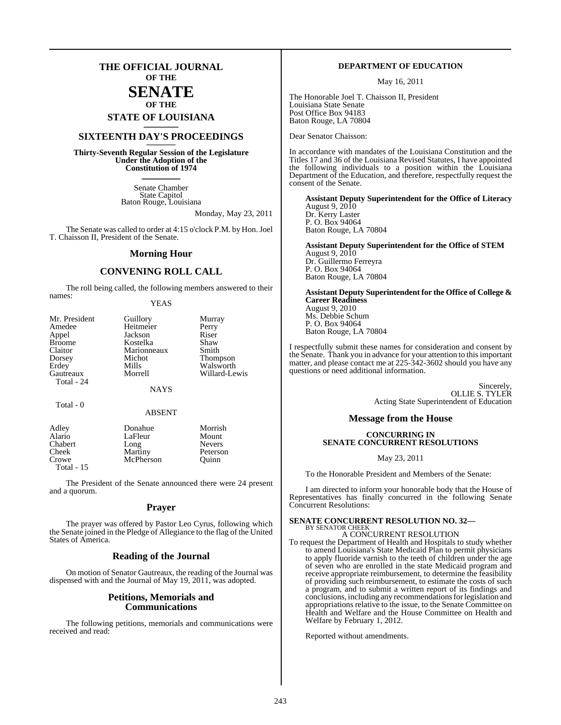## **THE OFFICIAL JOURNAL OF THE**

## **SENATE OF THE**

**STATE OF LOUISIANA \_\_\_\_\_\_\_**

## **SIXTEENTH DAY'S PROCEEDINGS \_\_\_\_\_\_\_**

**Thirty-Seventh Regular Session of the Legislature Under the Adoption of the Constitution of 1974 \_\_\_\_\_\_\_**

> Senate Chamber State Capitol Baton Rouge, Louisiana

> > Monday, May 23, 2011

The Senate was called to order at 4:15 o'clock P.M. by Hon. Joel T. Chaisson II, President of the Senate.

#### **Morning Hour**

### **CONVENING ROLL CALL**

The roll being called, the following members answered to their names:

#### YEAS

| Mr. President                             | Guillory    | Murray                |  |
|-------------------------------------------|-------------|-----------------------|--|
| Amedee                                    | Heitmeier   | Perry                 |  |
| Appel                                     | Jackson     | Riser                 |  |
| <b>Broome</b>                             | Kostelka    | Shaw                  |  |
|                                           | Marionneaux | Smith                 |  |
|                                           | Michot      |                       |  |
|                                           | Mills       |                       |  |
| Gautreaux                                 | Morrell     | Willard-Lewis         |  |
| Total - 24                                |             |                       |  |
|                                           | <b>NAYS</b> |                       |  |
|                                           |             |                       |  |
| Claitor<br>Dorsey<br>Erdey<br>$Total - 0$ |             | Thompson<br>Walsworth |  |

#### ABSENT

| Adley        | Donahue   | Morrish       |
|--------------|-----------|---------------|
| Alario       | LaFleur   | Mount         |
| Chabert      | Long      | <b>Nevers</b> |
| Cheek        | Martiny   | Peterson      |
| Crowe        | McPherson | Ouinn         |
| Total - $15$ |           |               |
|              |           |               |

The President of the Senate announced there were 24 present and a quorum.

#### **Prayer**

The prayer was offered by Pastor Leo Cyrus, following which the Senate joined in the Pledge of Allegiance to the flag of the United States of America.

#### **Reading of the Journal**

On motion of Senator Gautreaux, the reading of the Journal was dispensed with and the Journal of May 19, 2011, was adopted.

#### **Petitions, Memorials and Communications**

The following petitions, memorials and communications were received and read:

#### **DEPARTMENT OF EDUCATION**

May 16, 2011

The Honorable Joel T. Chaisson II, President Louisiana State Senate Post Office Box 94183 Baton Rouge, LA 70804

Dear Senator Chaisson:

In accordance with mandates of the Louisiana Constitution and the Titles 17 and 36 of the Louisiana Revised Statutes, I have appointed the following individuals to a position within the Louisiana Department of the Education, and therefore, respectfully request the consent of the Senate.

**Assistant Deputy Superintendent for the Office of Literacy** August 9, 2010 Dr. Kerry Laster P. O. Box 94064 Baton Rouge, LA 70804

**Assistant Deputy Superintendent for the Office of STEM** August 9, 2010 Dr. Guillermo Ferreyra P. O. Box 94064 Baton Rouge, LA 70804

**Assistant Deputy Superintendent for the Office of College & Career Readiness** August 9, 2010 Ms. Debbie Schum P. O. Box 94064 Baton Rouge, LA 70804

I respectfully submit these names for consideration and consent by the Senate. Thank you in advance for your attention to this important matter, and please contact me at 225-342-3602 should you have any questions or need additional information.

> **Sincerely** OLLIE S. TYLER Acting State Superintendent of Education

## **Message from the House**

#### **CONCURRING IN SENATE CONCURRENT RESOLUTIONS**

May 23, 2011

To the Honorable President and Members of the Senate:

I am directed to inform your honorable body that the House of Representatives has finally concurred in the following Senate Concurrent Resolutions:

#### **SENATE CONCURRENT RESOLUTION NO. 32—** BY SENATOR CHEEK

A CONCURRENT RESOLUTION

To request the Department of Health and Hospitals to study whether to amend Louisiana's State Medicaid Plan to permit physicians to apply fluoride varnish to the teeth of children under the age of seven who are enrolled in the state Medicaid program and receive appropriate reimbursement, to determine the feasibility of providing such reimbursement, to estimate the costs of such a program, and to submit a written report of its findings and conclusions, including any recommendations for legislation and appropriations relative to the issue, to the Senate Committee on Health and Welfare and the House Committee on Health and Welfare by February 1, 2012.

Reported without amendments.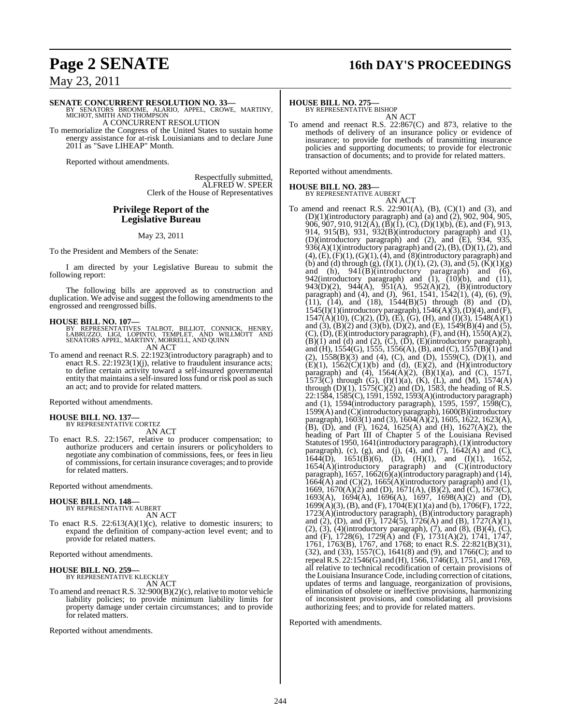# **Page 2 SENATE 16th DAY'S PROCEEDINGS**

May 23, 2011

#### **SENATE CONCURRENT RESOLUTION NO. 33—**

BY SENATORS BROOME, ALARIO, APPEL, CROWE, MARTINY, MICHOT, SMITH AND THOMPSON A CONCURRENT RESOLUTION

To memorialize the Congress of the United States to sustain home energy assistance for at-risk Louisianians and to declare June 2011 as "Save LIHEAP" Month.

Reported without amendments.

Respectfully submitted, ALFRED W. SPEER Clerk of the House of Representatives

#### **Privilege Report of the Legislative Bureau**

#### May 23, 2011

To the President and Members of the Senate:

I am directed by your Legislative Bureau to submit the following report:

The following bills are approved as to construction and duplication. We advise and suggest the following amendments to the engrossed and reengrossed bills.

**HOUSE BILL NO. 107—** BY REPRESENTATIVES TALBOT, BILLIOT, CONNICK, HENRY, LABRUZZO, LIGI, LOPINTO, TEMPLET, AND WILLMOTT AND SENATORS APPEL, MARTINY, MORRELL, AND QUINN AN ACT

To amend and reenact R.S. 22:1923(introductory paragraph) and to enact R.S. 22:1923(1)(j), relative to fraudulent insurance acts; to define certain activity toward a self-insured governmental entity that maintains a self-insured loss fund or risk pool as such an act; and to provide for related matters.

Reported without amendments.

**HOUSE BILL NO. 137—** BY REPRESENTATIVE CORTEZ AN ACT

To enact R.S. 22:1567, relative to producer compensation; to authorize producers and certain insurers or policyholders to negotiate any combination of commissions, fees, or fees in lieu of commissions, for certain insurance coverages; and to provide for related matters.

Reported without amendments.

#### **HOUSE BILL NO. 148—** BY REPRESENTATIVE AUBERT

AN ACT

To enact R.S.  $22:613(A)(1)(c)$ , relative to domestic insurers; to expand the definition of company-action level event; and to provide for related matters.

Reported without amendments.

#### **HOUSE BILL NO. 259—**

BY REPRESENTATIVE KLECKLEY AN ACT

To amend and reenact R.S. 32:900(B)(2)(c), relative to motor vehicle liability policies; to provide minimum liability limits for property damage under certain circumstances; and to provide for related matters.

Reported without amendments.

#### **HOUSE BILL NO. 275—**

BY REPRESENTATIVE BISHOP AN ACT

To amend and reenact R.S. 22:867(C) and 873, relative to the methods of delivery of an insurance policy or evidence of insurance; to provide for methods of transmitting insurance policies and supporting documents; to provide for electronic transaction of documents; and to provide for related matters.

Reported without amendments.

# **HOUSE BILL NO. 283—** BY REPRESENTATIVE AUBERT

AN ACT To amend and reenact R.S. 22:901(A), (B), (C)(1) and (3), and (D)(1)(introductory paragraph) and (a) and (2), 902, 904, 905, 906, 907, 910, 912(A), (B)(1), (C), (D)(1)(b), (E), and (F), 913, 914, 915(B), 931, 932(B)(introductory paragraph) and (1), (D)(introductory paragraph) and (2), and (E), 934, 935,  $936(A)(1)$ (introductory paragraph) and  $(2)$ ,  $(B)$ ,  $(D)(1)$ ,  $(2)$ , and  $(4)$ ,  $(E)$ ,  $(F)(1)$ ,  $(G)(1)$ ,  $(4)$ , and  $(8)$ (introductory paragraph) and (b) and (d) through (g),  $(I)(1)$ ,  $(J)(1)$ ,  $(2)$ ,  $(3)$ , and  $(5)$ ,  $(K)(1)(g)$ and  $(h)$ ,  $941(B)$ (introductory paragraph) and  $(6)$ , 942(introductory paragraph) and  $(1)$ ,  $(10)(b)$ , and  $(11)$ , 943(D)(2), 944(A), 951(A), 952(A)(2), (B)(introductory paragraph) and (4), and (J),  $961$ ,  $1541$ ,  $1542(1)$ ,  $(4)$ ,  $(6)$ ,  $(9)$ ,  $(11)$ ,  $(14)$ , and  $(18)$ ,  $1544(B)(5)$  through  $(8)$  and  $(D)$ ,  $1545(I)(1)($ introductory paragraph),  $1546(A)(3)$ ,  $(D)(4)$ , and  $(F)$ ,  $1547(A)(10)$ , (C)(2), (D), (E), (G), (H), and (I)(3), 1548(A)(1) and (3), (B)(2) and (3)(b), (D)(2), and (E),  $1549(B)(4)$  and (5),  $(C)$ ,  $(D)$ ,  $(E)$ (introductory paragraph),  $(F)$ , and  $(H)$ , 1550 $(A)(2)$ ,  $(B)(1)$  and  $(d)$  and  $(2)$ ,  $(\overrightarrow{C})$ ,  $(\overrightarrow{D})$ ,  $(\overrightarrow{E})$ (introductory paragraph), and (H), 1554(G), 1555, 1556(A), (B), and (C), 1557(B)(1) and (2),  $1558(B)(3)$  and (4), (C), and (D),  $1559(C)$ , (D)(1), and  $(E)(1)$ ,  $1562(C)(1)(b)$  and (d),  $(E)(2)$ , and  $(H)(introductory)$ paragraph) and (4),  $1564(A)(2)$ ,  $(B)(1)(a)$ , and  $(C)$ ,  $1571$ , 1573(C) through (G),  $(I)(1)(a)$ ,  $(K)$ ,  $(L)$ , and  $(M)$ , 1574 $(A)$ through  $(D)(1)$ ,  $1575(C)(2)$  and  $(D)$ ,  $1583$ , the heading of R.S. 22:1584, 1585(C), 1591, 1592, 1593(A)(introductory paragraph) and (1), 1594(introductory paragraph), 1595, 1597, 1598(C), 1599(A) and (C)(introductory paragraph), 1600(B)(introductory paragraph), 1603(1) and (3), 1604(A)(2), 1605, 1622, 1623(A),  $(B)$ ,  $(D)$ , and  $(F)$ , 1624, 1625(A) and  $(H)$ , 1627(A)(2), the heading of Part III of Chapter 5 of the Louisiana Revised Statutes of 1950, 1641(introductory paragraph), (1)(introductory paragraph), (c), (g), and (j), (4), and  $(7)$ , 1642(A) and (C),  $\overline{1644(D)}$ ,  $1651(\overline{B})(6)$ ,  $(\overline{D})$ ,  $(H)(1)$ , and  $(I)(1)$ , 1652, 1654(A)(introductory paragraph) and (C)(introductory paragraph), 1657, 1662(6)(a)(introductory paragraph) and (14),  $166\tilde{4}$ (A) and (C)(2),  $1665(A)$ (introductory paragraph) and (1), 1669, 1670(A)(2) and (D), 1671(A), (B)(2), and (C), 1673(C), 1693(A), 1694(A), 1696(A), 1697, 1698(A)(2) and (D), 1699(A)(3), (B), and (F), 1704(E)(1)(a) and (b), 1706(F), 1722, 1723(A)(introductory paragraph), (B)(introductory paragraph) and (2), (D), and (F),  $172\overline{4}(5)$ ,  $172\overline{6}(A)$  and (B),  $1727(A)(1)$ , (2), (3), (4)(introductory paragraph), (7), and (8), (B)(4), (C), and (F), 1728(6), 1729(A) and (F), 1731(A)(2), 1741, 1747, 1761, 1763(B), 1767, and 1768; to enact R.S. 22:821(B)(31), (32), and (33), 1557(C), 1641(8) and (9), and 1766(C); and to repealR.S. 22:1546(G) and (H), 1566, 1746(E), 1751, and 1769, all relative to technical recodification of certain provisions of the Louisiana Insurance Code, including correction of citations, updates of terms and language, reorganization of provisions, elimination of obsolete or ineffective provisions, harmonizing of inconsistent provisions, and consolidating all provisions authorizing fees; and to provide for related matters.

Reported with amendments.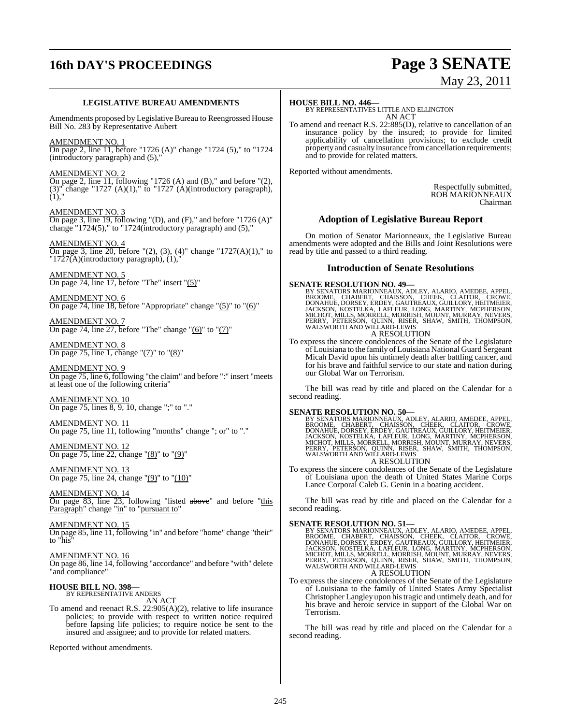# **16th DAY'S PROCEEDINGS Page 3 SENATE**

# May 23, 2011

#### **LEGISLATIVE BUREAU AMENDMENTS**

Amendments proposed by Legislative Bureau to Reengrossed House Bill No. 283 by Representative Aubert

#### AMENDMENT NO. 1

On page 2, line 11, before "1726 (A)" change "1724 (5)," to "1724  $(introducing a)$  and  $(5)$ ,

#### AMENDMENT NO. 2

On page 2, line 11, following "1726  $(A)$  and  $(B)$ ," and before " $(2)$ ,  $(3)$ " change "1727  $(A)(1)$ ," to "1727  $(A)(\text{introducing paragraph}),$  $(1),$ "

#### AMENDMENT NO. 3

On page 3, line 19, following "(D), and (F)," and before "1726 (A)" change "1724(5)," to "1724(introductory paragraph) and (5),"

#### AMENDMENT NO. 4

On page 3, line 20, before "(2), (3), (4)" change "1727(A)(1)," to "1727(A)(introductory paragraph), (1),"

AMENDMENT NO. 5 On page 74, line 17, before "The" insert "(5)"

AMENDMENT NO. 6 On page 74, line 18, before "Appropriate" change "(5)" to "(6)"

AMENDMENT NO. 7 On page 74, line 27, before "The" change " $(6)$ " to " $(7)$ "

AMENDMENT NO. 8 On page 75, line 1, change "(7)" to "(8)"

AMENDMENT NO. 9 On page 75, line 6, following "the claim" and before ":" insert "meets at least one of the following criteria"

AMENDMENT NO. 10 On page 75, lines 8, 9, 10, change ";" to "."

AMENDMENT NO. 11 On page 75, line 11, following "months" change "; or" to "."

AMENDMENT NO. 12 On page 75, line 22, change "(8)" to "(9)"

AMENDMENT NO. 13 On page 75, line 24, change " $(9)$ " to " $(10)$ "

AMENDMENT NO. 14 On page 83, line 23, following "listed above" and before "this Paragraph" change "in" to "pursuant to"

AMENDMENT NO. 15 On page 85, line 11, following "in" and before "home" change "their" to "his"

AMENDMENT NO. 16 On page 86, line 14, following "accordance" and before "with" delete "and compliance"

#### **HOUSE BILL NO. 398—** BY REPRESENTATIVE ANDERS

AN ACT

To amend and reenact R.S. 22:905(A)(2), relative to life insurance policies; to provide with respect to written notice required before lapsing life policies; to require notice be sent to the insured and assignee; and to provide for related matters.

Reported without amendments.

#### **HOUSE BILL NO. 446—**

BY REPRESENTATIVES LITTLE AND ELLINGTON AN ACT

To amend and reenact R.S. 22:885(D), relative to cancellation of an insurance policy by the insured; to provide for limited applicability of cancellation provisions; to exclude credit property and casualty insurance fromcancellation requirements; and to provide for related matters.

Reported without amendments.

Respectfully submitted, ROB MARIONNEAUX Chairman

### **Adoption of Legislative Bureau Report**

On motion of Senator Marionneaux, the Legislative Bureau amendments were adopted and the Bills and Joint Resolutions were read by title and passed to a third reading.

#### **Introduction of Senate Resolutions**

SENATE RESOLUTION NO. 49—<br>BY SENATORS MARIONNEAUX, ADLEY, ALARIO, AMEDEE, APPEL, BROOME, CHABERT, CHAISSON, CHEEK, CLAITOR, CROWE, DONAHUE, DORSEY, ERDEY, GAUTREAUX, GUILLORY, HEITMEIER, JACKSON, KOSTELKA, LAFLEUR, LONG, M

## A RESOLUTION

To express the sincere condolences of the Senate of the Legislature ofLouisiana to the family ofLouisiana National Guard Sergeant Micah David upon his untimely death after battling cancer, and for his brave and faithful service to our state and nation during our Global War on Terrorism.

The bill was read by title and placed on the Calendar for a second reading.

#### **SENATE RESOLUTION NO. 50—**

BY SENATORS MARIONNEAUX, ADLEY, ALARIO, AMEDEE, APPEL,<br>BROOME, CHABERT, CHAISSON, CHEEK, CLAITOR, CROWE,<br>DONAHUE, DORSEY, ERDEY, GAUTREAUX, GUILLORY, HEITMEIER,<br>JACKSON, KOSTELKA, LAFLEUR, LONG, MARTINY, MCPHERSON,<br>MICHOT, A RESOLUTION

To express the sincere condolences of the Senate of the Legislature of Louisiana upon the death of United States Marine Corps Lance Corporal Caleb G. Genin in a boating accident.

The bill was read by title and placed on the Calendar for a second reading.

**SENATE RESOLUTION NO. 51—**<br>BY SENATORS MARIONNEAUX, ADLEY, ALARIO, AMEDEE, APPEL, BROOME, CHABERT, CHAISSON, CHEEK, CLAITOR, CROWE, DONAHUE, DORSEY, ERDEY, GAUTREAUX, GUILLORY, HEITMEIER, JACKSON, KOSTELKA, LAFLEUR, LONG, A RESOLUTION

#### To express the sincere condolences of the Senate of the Legislature of Louisiana to the family of United States Army Specialist Christopher Langley upon histragic and untimely death, and for his brave and heroic service in support of the Global War on Terrorism.

The bill was read by title and placed on the Calendar for a second reading.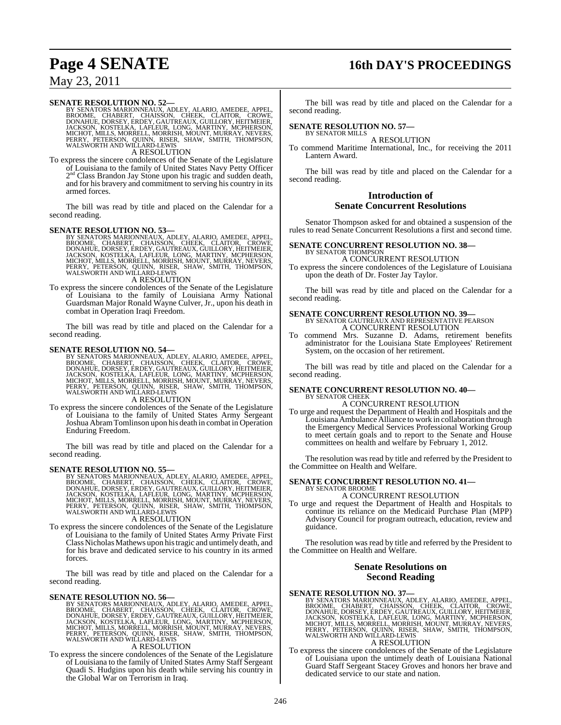# **Page 4 SENATE 16th DAY'S PROCEEDINGS**

## May 23, 2011

SENATE RESOLUTION NO. 52—<br>BY SENATORS MARIONNEAUX, ADLEY, ALARIO, AMEDEE, APPEL, BROOME, CHABERT, CHAISSON, CHEEK, CLAITOR, CROWE, DONAHUE, DORSEY, ERDEY, GAUTREAUX, GUILLORY, HEITMEIER, JACKSON, KOSTELKA, LAFLEUR, LONG, M A RESOLUTION

To express the sincere condolences of the Senate of the Legislature of Louisiana to the family of United States Navy Petty Officer 2<sup>nd</sup> Class Brandon Jay Stone upon his tragic and sudden death, and for his bravery and commitment to serving his country in its armed forces.

The bill was read by title and placed on the Calendar for a second reading.

SENATE RESOLUTION NO. 53—<br>BY SENATORS MARIONNEAUX, ADLEY, ALARIO, AMEDEE, APPEL, BROOME, CHABERT, CHAISSON, CHEEK, CLAITOR, CROWE, DONAHUE, DORSEY, ERDEY, GAUTREAUX, GUILLORY, HEITMEIER, JACKSON, KOSTELKA, LAFLEUR, LONG, M

A RESOLUTION

To express the sincere condolences of the Senate of the Legislature of Louisiana to the family of Louisiana Army National Guardsman Major Ronald Wayne Culver, Jr., upon his death in combat in Operation Iraqi Freedom.

The bill was read by title and placed on the Calendar for a second reading.

#### **SENATE RESOLUTION NO. 54—**

BY SENATORS MARIONNEAUX, ADLEY, ALARIO, AMEDEE, APPEL,<br>BROOME, CHABERT, CHAISSON, CHEEK, CLAITOR, CROWE,<br>DONAHUE, DORSEY, ERDEY, GAUTREAUX, GUILLORY, HEITMEIER,<br>JACKSON, KOSTELKA, LAFLEUR, LONG, MARTINY, MCPHERSON,<br>MICHOT, A RESOLUTION

To express the sincere condolences of the Senate of the Legislature of Louisiana to the family of United States Army Sergeant Joshua AbramTomlinson upon his death in combat in Operation Enduring Freedom.

The bill was read by title and placed on the Calendar for a second reading.

SENATE RESOLUTION NO. 55—<br>BY SENATORS MARIONNEAUX, ADLEY, ALARIO, AMEDEE, APPEL, BROOME, CHABERT, CHAISSON, CHEEK, CLAITOR, CROWE, DONAHUE, DORSEY, ERDEY, GAUTREAUX, GUILLORY, HEITMEIER, JACKSON, KOSTELKA, LAFLEUR, LONG, M A RESOLUTION

To express the sincere condolences of the Senate of the Legislature of Louisiana to the family of United States Army Private First Class Nicholas Mathews upon his tragic and untimely death, and for his brave and dedicated service to his country in its armed forces.

The bill was read by title and placed on the Calendar for a second reading.

#### **SENATE RESOLUTION NO. 56—**

BY SENATORS MARIONNEAUX, ADLEY, ALARIO, AMEDEE, APPEL,<br>BROOME, CHABERT, CHAISSON, CHEEK, CLAITOR, CROWE,<br>DONAHUE, DORSEY, ERDEY, GAUTREAUX, GULLORY, HEITMEIER,<br>JACKSON, KOSTELKA, LAFLEUR, LONG, MARTINY, MCPHERSON,<br>MICHOT,

#### A RESOLUTION

To express the sincere condolences of the Senate of the Legislature of Louisiana to the family of United States Army Staff Sergeant Quadi S. Hudgins upon his death while serving his country in the Global War on Terrorism in Iraq.

The bill was read by title and placed on the Calendar for a second reading.

#### **SENATE RESOLUTION NO. 57—** BY SENATOR MILLS

A RESOLUTION

To commend Maritime International, Inc., for receiving the 2011 Lantern Award.

The bill was read by title and placed on the Calendar for a second reading.

## **Introduction of Senate Concurrent Resolutions**

Senator Thompson asked for and obtained a suspension of the rules to read Senate Concurrent Resolutions a first and second time.

# **SENATE CONCURRENT RESOLUTION NO. 38—** BY SENATOR THOMPSON

A CONCURRENT RESOLUTION

To express the sincere condolences of the Legislature of Louisiana upon the death of Dr. Foster Jay Taylor.

The bill was read by title and placed on the Calendar for a second reading.

## **SENATE CONCURRENT RESOLUTION NO. 39—** BY SENATOR GAUTREAUX AND REPRESENTATIVE PEARSON A CONCURRENT RESOLUTION

To commend Mrs. Suzanne D. Adams, retirement benefits administrator for the Louisiana State Employees' Retirement System, on the occasion of her retirement.

The bill was read by title and placed on the Calendar for a second reading.

# **SENATE CONCURRENT RESOLUTION NO. 40—** BY SENATOR CHEEK

A CONCURRENT RESOLUTION

To urge and request the Department of Health and Hospitals and the Louisiana Ambulance Alliance to work in collaboration through the Emergency Medical Services Professional Working Group to meet certain goals and to report to the Senate and House committees on health and welfare by February 1, 2012.

The resolution was read by title and referred by the President to the Committee on Health and Welfare.

#### **SENATE CONCURRENT RESOLUTION NO. 41—** BY SENATOR BROOME

A CONCURRENT RESOLUTION

To urge and request the Department of Health and Hospitals to continue its reliance on the Medicaid Purchase Plan (MPP) Advisory Council for program outreach, education, review and guidance.

The resolution was read by title and referred by the President to the Committee on Health and Welfare.

#### **Senate Resolutions on Second Reading**

**SENATE RESOLUTION NO. 37—**<br>BY SENATORS MARIONNEAUX, ADLEY, ALARIO, AMEDEE, APPEL, BROOME, CHABERT, CHAISSON, CHEEK, CLAITOR, CROWE, DONAHUE, DORSEY, ERDEY, GAUTREAUX, GUILLORY, HEITMEIER, JACKSON, KOSTELKA, LAFLEUR, LONG, A RESOLUTION

To express the sincere condolences of the Senate of the Legislature of Louisiana upon the untimely death of Louisiana National Guard Staff Sergeant Stacey Groves and honors her brave and dedicated service to our state and nation.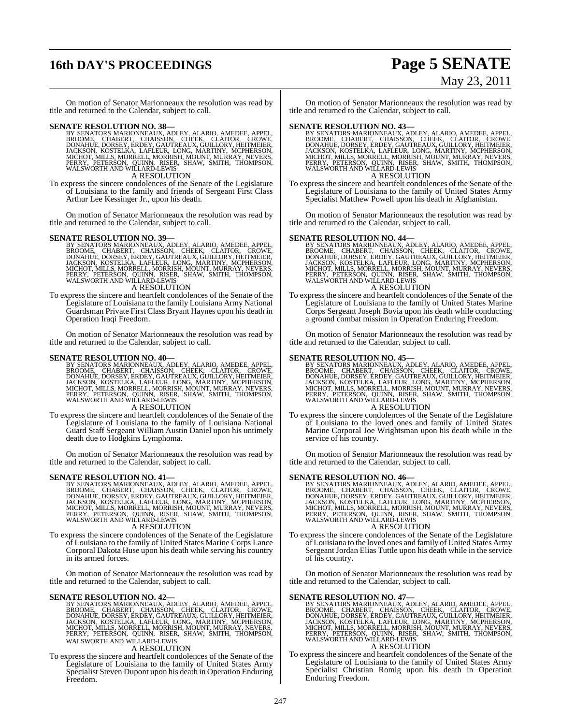# **16th DAY'S PROCEEDINGS Page 5 SENATE**

# May 23, 2011

On motion of Senator Marionneaux the resolution was read by title and returned to the Calendar, subject to call.

**SENATE RESOLUTION NO. 38—**<br>BY SENATORS MARIONNEAUX, ADLEY, ALARIO, AMEDEE, APPEL, BROOME, CHABERT, CHAISSON, CHEEK, CLAITOR, CROWE, DONAHUE, DORSEY, ERDEY, GAUTREAUX, GUILLORY, HEITMEIER, JACKSON, KOSTELKA, LAFLEUR, LONG,

#### A RESOLUTION

To express the sincere condolences of the Senate of the Legislature of Louisiana to the family and friends of Sergeant First Class Arthur Lee Kessinger Jr., upon his death.

On motion of Senator Marionneaux the resolution was read by title and returned to the Calendar, subject to call.

#### **SENATE RESOLUTION NO. 39—**

- BY SENATORS MARIONNEAUX, ADLEY, ALARIO, AMEDEE, APPEL,<br>BROOME, CHABERT, CHAISSON, CHEEK, CLAITOR, CROWE,<br>DONAHUE, DORSEY, ERDEY, GAUTREAUX, GUILLORY, HEITMEIER,<br>JACKSON, KOSTELKA, LAFLEUR, LONG, MARTINY, MCPHERSON,<br>MICHOT, A RESOLUTION
- To express the sincere and heartfelt condolences of the Senate of the Legislature of Louisiana to the family Louisiana Army National Guardsman Private First Class Bryant Haynes upon his death in Operation Iraqi Freedom.

On motion of Senator Marionneaux the resolution was read by title and returned to the Calendar, subject to call.

#### **SENATE RESOLUTION NO. 40—**

BY SENATORS MARIONNEAUX, ADLEY, ALARIO, AMEDEE, APPEL,<br>BROOME, CHABERT, CHAISSON, CHEEK, CLAITOR, CROWE,<br>DONAHUE, DORSEY, ERDEY, GAUTREAUX, GUILLORY, HEITMEIER,<br>JACKSON, KOSTELKA, LAFLEUR, LONG, MARTINY, MCPHERSON,<br>MICHOT,

A RESOLUTION

To express the sincere and heartfelt condolences of the Senate of the Legislature of Louisiana to the family of Louisiana National Guard Staff Sergeant William Austin Daniel upon his untimely death due to Hodgkins Lymphoma.

On motion of Senator Marionneaux the resolution was read by title and returned to the Calendar, subject to call.

**SENATE RESOLUTION NO. 41—**<br>BY SENATORS MARIONNEAUX, ADLEY, ALARIO, AMEDEE, APPEL, BROOME, CHABERT, CHAISSON, CHEEK, CLAITOR, CROWE,<br>DONAHUE, DORSEY, ERDEY, GAUTREAUX, GUILLORY, HEITMEIER,<br>JACKSON, KOSTELKA, LAFLEUR, LONG,

#### A RESOLUTION

To express the sincere condolences of the Senate of the Legislature of Louisiana to the family of United States Marine Corps Lance Corporal Dakota Huse upon his death while serving his country in its armed forces.

On motion of Senator Marionneaux the resolution was read by title and returned to the Calendar, subject to call.

#### **SENATE RESOLUTION NO. 42—**

BY SENATORS MARIONNEAUX, ADLEY, ALARIO, AMEDEE, APPEL,<br>BROOME, CHABERT, CHAISSON, CHEEK, CLAITOR, CROWE,<br>DONAHUE, DORSEY, ERDEY, GAUTREAUX, GULLORY, HEITMEIER,<br>JACKSON, KOSTELKA, LAFLEUR, LONG, MARTINY, MCPHERSON,<br>MICHOT, WALSWORTH AND WILLARD-LEWIS

#### A RESOLUTION

To express the sincere and heartfelt condolences of the Senate of the Legislature of Louisiana to the family of United States Army Specialist Steven Dupont upon his death in Operation Enduring Freedom.

On motion of Senator Marionneaux the resolution was read by title and returned to the Calendar, subject to call.

**SENATE RESOLUTION NO. 43—**<br>BY SENATORS MARIONNEAUX, ADLEY, ALARIO, AMEDEE, APPEL, BROOME, CHABERT, CHAISSON, CHEEK, CLAITOR, CROWE,<br>DONAHUE, DORSEY, ERDEY, GAUTREAUX, GUILLORY, HEITMEIER,<br>JACKSON, KOSTELKA, LAFLEUR, LONG,

A RESOLUTION

To express the sincere and heartfelt condolences of the Senate of the Legislature of Louisiana to the family of United States Army Specialist Matthew Powell upon his death in Afghanistan.

On motion of Senator Marionneaux the resolution was read by title and returned to the Calendar, subject to call.

- SENATE RESOLUTION NO. 44—<br>BY SENATORS MARIONNEAUX, ADLEY, ALARIO, AMEDEE, APPEL, BROOME, CHABERT, CHAISSON, CHEEK, CLAITOR, CROWE, DONAHUE, DORSEY, ERDEY, GAUTREAUX, GUILLORY, HEITMEIER, JACKSON, KOSTELKA, LAFLEUR, LONG, M A RESOLUTION
- To express the sincere and heartfelt condolences of the Senate of the Legislature of Louisiana to the family of United States Marine Corps Sergeant Joseph Bovia upon his death while conducting a ground combat mission in Operation Enduring Freedom.

On motion of Senator Marionneaux the resolution was read by title and returned to the Calendar, subject to call.

#### **SENATE RESOLUTION NO. 45—**

BY SENATORS MARIONNEAUX, ADLEY, ALARIO, AMEDEE, APPEL,<br>BROOME, CHABERT, CHAISSON, CHEEK, CLAITOR, CROWE,<br>DONAHUE, DORSEY, ERDEY, GAUTREAUX, GUILLORY, HEITMEIER,<br>JACKSON, KOSTELKA, LAFLEUR, LONG, MARTINY, MCPHERSON,<br>MCHOT,

#### A RESOLUTION

To express the sincere condolences of the Senate of the Legislature of Louisiana to the loved ones and family of United States Marine Corporal Joe Wrightsman upon his death while in the service of his country.

On motion of Senator Marionneaux the resolution was read by title and returned to the Calendar, subject to call.

**SENATE RESOLUTION NO. 46—**<br>BY SENATORS MARIONNEAUX, ADLEY, ALARIO, AMEDEE, APPEL, BROOME, CHABERT, CHAISSON, CHEEK, CLAITOR, CROWE,<br>DONAHUE, DORSEY, ERDEY, GAUTREAUX, GUILLORY, HEITMEIER,<br>JACKSON, KOSTELKA, LAFLEUR, LONG,

#### A RESOLUTION

To express the sincere condolences of the Senate of the Legislature of Louisiana to the loved ones and family of United States Army Sergeant Jordan Elias Tuttle upon his death while in the service of his country.

On motion of Senator Marionneaux the resolution was read by title and returned to the Calendar, subject to call.

#### **SENATE RESOLUTION NO. 47—**

BY SENATORS MARIONNEAUX, ADLEY, ALARIO, AMEDEE, APPEL,<br>BROOME, CHABERT, CHAISSON, CHEEK, CLAITOR, CROWE,<br>DONAHUE, DORSEY, ERDEY, GAUTREAUX, GUILLORY, HEITMEIER,<br>JACKSON, KOSTELKA, LAFLEUR, LONG, MARTINY, MCPHERSON,<br>MICHOT,

#### A RESOLUTION

To express the sincere and heartfelt condolences of the Senate of the Legislature of Louisiana to the family of United States Army Specialist Christian Romig upon his death in Operation Enduring Freedom.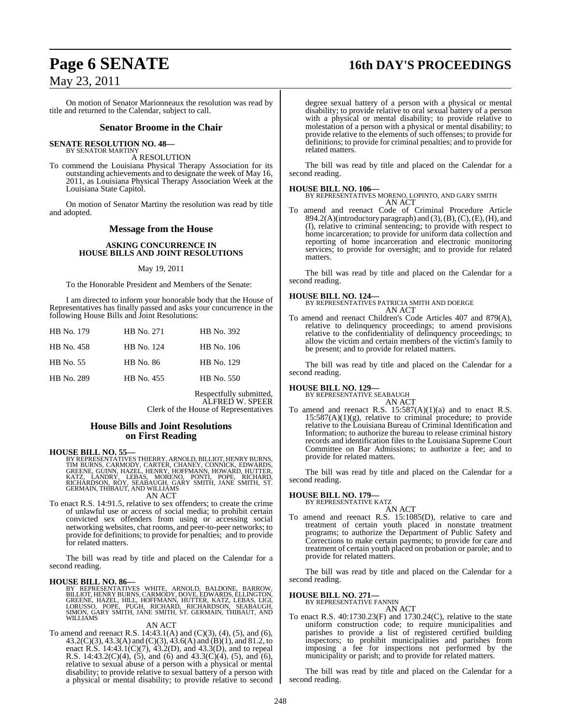# **Page 6 SENATE 16th DAY'S PROCEEDINGS**

## May 23, 2011

On motion of Senator Marionneaux the resolution was read by title and returned to the Calendar, subject to call.

#### **Senator Broome in the Chair**

#### **SENATE RESOLUTION NO. 48—**

BY SENATOR MARTINY A RESOLUTION

To commend the Louisiana Physical Therapy Association for its outstanding achievements and to designate the week of May 16, 2011, as Louisiana Physical Therapy Association Week at the Louisiana State Capitol.

On motion of Senator Martiny the resolution was read by title and adopted.

#### **Message from the House**

#### **ASKING CONCURRENCE IN HOUSE BILLS AND JOINT RESOLUTIONS**

#### May 19, 2011

To the Honorable President and Members of the Senate:

I am directed to inform your honorable body that the House of Representatives has finally passed and asks your concurrence in the following House Bills and Joint Resolutions:

| HB No. 179 | HB No. 271 | HB No. 392 |
|------------|------------|------------|
| HB No. 458 | HB No. 124 | HB No. 106 |
| HB No. 55  | HB No. 86  | HB No. 129 |
| HB No. 289 | HB No. 455 | HB No. 550 |

Respectfully submitted, ALFRED W. SPEER Clerk of the House of Representatives

#### **House Bills and Joint Resolutions on First Reading**

#### **HOUSE BILL NO. 55—**

BY REPRESENTATIVES THIERRY, ARNOLD, BILLIOT, HENRY BURNS,<br>TIM BURNS, CARMODY, CARTER, CHANEY, CONNICK, EDWARDS,<br>GREENE, GUINN, HAZEL, HENRY, HOFFMANN, HOWARD, HUTTER,<br>KATZ, `LANDRY, `LEBAS, `MORENO, `PONTI, `POPE, `RICHARD AN ACT

To enact R.S. 14:91.5, relative to sex offenders; to create the crime of unlawful use or access of social media; to prohibit certain convicted sex offenders from using or accessing social networking websites, chat rooms, and peer-to-peer networks; to provide for definitions; to provide for penalties; and to provide for related matters.

The bill was read by title and placed on the Calendar for a second reading.

#### **HOUSE BILL NO. 86—**

BY REPRESENTATIVES WHITE, ARNOLD, BALDONE, BARROW,<br>BILLIOT,HENRYBURNS,CARMODY,DOVE,EDWARDS,ELLINGTON,<br>GREENE,HAZEL,HILL,HOFFMANN,HUTTER,KATZ,LEBAS,LIGI,<br>LORUSSO, POPE, PUGH, RICHARD, RICHARDSON, SEABAUGH,<br>SIMON,GARY SMITH, WILLIAMS

#### AN ACT

To amend and reenact R.S. 14:43.1(A) and (C)(3), (4), (5), and (6), 43.2(C)(3), 43.3(A) and (C)(3), 43.6(A) and (B)(1), and 81.2, to enact R.S.  $14:43.1(C)(7)$ ,  $43.2(D)$ , and  $43.3(D)$ , and to repeal R.S. 14:43.2(C)(4),  $(5)$ , and  $(6)$  and 43.3(C)(4),  $(5)$ , and  $(6)$ , relative to sexual abuse of a person with a physical or mental disability; to provide relative to sexual battery of a person with a physical or mental disability; to provide relative to second

degree sexual battery of a person with a physical or mental disability; to provide relative to oral sexual battery of a person with a physical or mental disability; to provide relative to molestation of a person with a physical or mental disability; to provide relative to the elements of such offenses; to provide for definitions; to provide for criminal penalties; and to provide for related matters.

The bill was read by title and placed on the Calendar for a second reading.

**HOUSE BILL NO. 106—** BY REPRESENTATIVES MORENO, LOPINTO, AND GARY SMITH AN ACT

To amend and reenact Code of Criminal Procedure Article 894.2(A)(introductory paragraph) and (3),(B), (C), (E), (H), and (I), relative to criminal sentencing; to provide with respect to home incarceration; to provide for uniform data collection and reporting of home incarceration and electronic monitoring services; to provide for oversight; and to provide for related matters.

The bill was read by title and placed on the Calendar for a second reading.

#### **HOUSE BILL NO. 124—**

BY REPRESENTATIVES PATRICIA SMITH AND DOERGE AN ACT

To amend and reenact Children's Code Articles 407 and 879(A), relative to delinquency proceedings; to amend provisions relative to the confidentiality of delinquency proceedings; to allow the victim and certain members of the victim's family to be present; and to provide for related matters.

The bill was read by title and placed on the Calendar for a second reading.

#### **HOUSE BILL NO. 129—**

BY REPRESENTATIVE SEABAUGH AN ACT

To amend and reenact R.S.  $15:587(A)(1)(a)$  and to enact R.S.  $15:587(A)(1)(g)$ , relative to criminal procedure; to provide relative to the Louisiana Bureau of Criminal Identification and Information; to authorize the bureau to release criminal history records and identification files to the Louisiana Supreme Court Committee on Bar Admissions; to authorize a fee; and to provide for related matters.

The bill was read by title and placed on the Calendar for a second reading.

#### **HOUSE BILL NO. 179—**

BY REPRESENTATIVE KATZ AN ACT

To amend and reenact R.S. 15:1085(D), relative to care and treatment of certain youth placed in nonstate treatment programs; to authorize the Department of Public Safety and Corrections to make certain payments; to provide for care and treatment of certain youth placed on probation or parole; and to provide for related matters.

The bill was read by title and placed on the Calendar for a second reading.

# **HOUSE BILL NO. 271—** BY REPRESENTATIVE FANNIN

## AN ACT

To enact R.S. 40:1730.23(F) and 1730.24(C), relative to the state uniform construction code; to require municipalities and parishes to provide a list of registered certified building inspectors; to prohibit municipalities and parishes from imposing a fee for inspections not performed by the municipality or parish; and to provide for related matters.

The bill was read by title and placed on the Calendar for a second reading.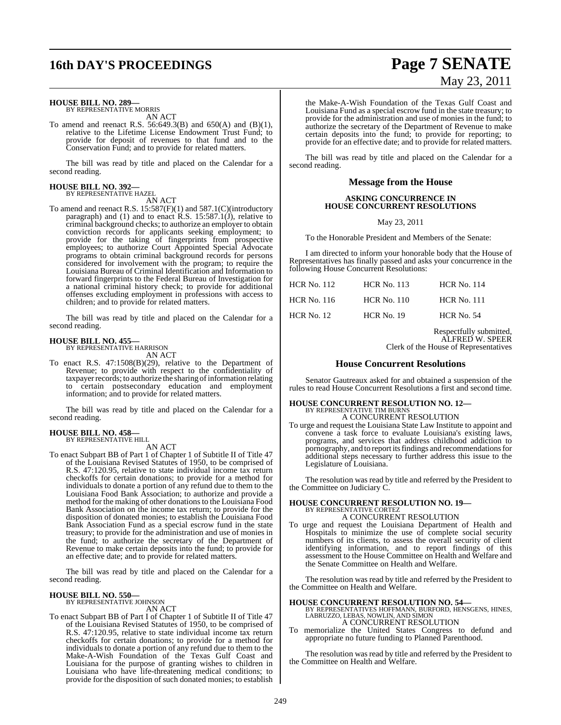# **16th DAY'S PROCEEDINGS Page 7 SENATE**

# **HOUSE BILL NO. 289—** BY REPRESENTATIVE MORRIS

AN ACT

To amend and reenact R.S. 56:649.3(B) and 650(A) and (B)(1), relative to the Lifetime License Endowment Trust Fund; to provide for deposit of revenues to that fund and to the Conservation Fund; and to provide for related matters.

The bill was read by title and placed on the Calendar for a second reading.

# **HOUSE BILL NO. 392—** BY REPRESENTATIVE HAZEL

AN ACT

To amend and reenact R.S. 15:587(F)(1) and 587.1(C)(introductory paragraph) and (1) and to enact R.S. 15:587.1(J), relative to criminal background checks; to authorize an employer to obtain conviction records for applicants seeking employment; to provide for the taking of fingerprints from prospective employees; to authorize Court Appointed Special Advocate programs to obtain criminal background records for persons considered for involvement with the program; to require the Louisiana Bureau of Criminal Identification and Information to forward fingerprints to the Federal Bureau of Investigation for a national criminal history check; to provide for additional offenses excluding employment in professions with access to children; and to provide for related matters.

The bill was read by title and placed on the Calendar for a second reading.

#### **HOUSE BILL NO. 455—** BY REPRESENTATIVE HARRISON

AN ACT

To enact R.S. 47:1508(B)(29), relative to the Department of Revenue; to provide with respect to the confidentiality of taxpayer records; to authorize the sharing of information relating to certain postsecondary education and employment information; and to provide for related matters.

The bill was read by title and placed on the Calendar for a second reading.

#### **HOUSE BILL NO. 458—** BY REPRESENTATIVE HILL

AN ACT

To enact Subpart BB of Part 1 of Chapter 1 of Subtitle II of Title 47 of the Louisiana Revised Statutes of 1950, to be comprised of R.S. 47:120.95, relative to state individual income tax return checkoffs for certain donations; to provide for a method for individuals to donate a portion of any refund due to them to the Louisiana Food Bank Association; to authorize and provide a method for the making of other donationsto the Louisiana Food Bank Association on the income tax return; to provide for the disposition of donated monies; to establish the Louisiana Food Bank Association Fund as a special escrow fund in the state treasury; to provide for the administration and use of monies in the fund; to authorize the secretary of the Department of Revenue to make certain deposits into the fund; to provide for an effective date; and to provide for related matters.

The bill was read by title and placed on the Calendar for a second reading.

# **HOUSE BILL NO. 550—** BY REPRESENTATIVE JOHNSON

AN ACT

To enact Subpart BB of Part I of Chapter 1 of Subtitle II of Title 47 of the Louisiana Revised Statutes of 1950, to be comprised of R.S. 47:120.95, relative to state individual income tax return checkoffs for certain donations; to provide for a method for individuals to donate a portion of any refund due to them to the Make-A-Wish Foundation of the Texas Gulf Coast and Louisiana for the purpose of granting wishes to children in Louisiana who have life-threatening medical conditions; to provide for the disposition of such donated monies; to establish

# May 23, 2011

the Make-A-Wish Foundation of the Texas Gulf Coast and Louisiana Fund as a special escrow fund in the state treasury; to provide for the administration and use of monies in the fund; to authorize the secretary of the Department of Revenue to make certain deposits into the fund; to provide for reporting; to provide for an effective date; and to provide for related matters.

The bill was read by title and placed on the Calendar for a second reading.

## **Message from the House**

#### **ASKING CONCURRENCE IN HOUSE CONCURRENT RESOLUTIONS**

May 23, 2011

To the Honorable President and Members of the Senate:

I am directed to inform your honorable body that the House of Representatives has finally passed and asks your concurrence in the following House Concurrent Resolutions:

| <b>HCR</b> No. 112 | <b>HCR No. 113</b> | <b>HCR No. 114</b> |
|--------------------|--------------------|--------------------|
| HCR No. 116        | <b>HCR</b> No. 110 | <b>HCR No. 111</b> |
| <b>HCR</b> No. 12  | $HCR$ No. 19       | <b>HCR No. 54</b>  |

Respectfully submitted, ALFRED W. SPEER Clerk of the House of Representatives

#### **House Concurrent Resolutions**

Senator Gautreaux asked for and obtained a suspension of the rules to read House Concurrent Resolutions a first and second time.

#### **HOUSE CONCURRENT RESOLUTION NO. 12—** BY REPRESENTATIVE TIM BURNS A CONCURRENT RESOLUTION

To urge and request the Louisiana State Law Institute to appoint and convene a task force to evaluate Louisiana's existing laws, programs, and services that address childhood addiction to pornography, and to report its findings and recommendations for additional steps necessary to further address this issue to the Legislature of Louisiana.

The resolution was read by title and referred by the President to the Committee on Judiciary C.

# **HOUSE CONCURRENT RESOLUTION NO. 19—** BY REPRESENTATIVE CORTEZ

A CONCURRENT RESOLUTION

To urge and request the Louisiana Department of Health and Hospitals to minimize the use of complete social security numbers of its clients, to assess the overall security of client identifying information, and to report findings of this assessment to the House Committee on Health and Welfare and the Senate Committee on Health and Welfare.

The resolution was read by title and referred by the President to the Committee on Health and Welfare.

**HOUSE CONCURRENT RESOLUTION NO. 54—** BY REPRESENTATIVES HOFFMANN, BURFORD, HENSGENS, HINES, LABRUZZO, LEBAS, NOWLIN, AND SIMON A CONCURRENT RESOLUTION

To memorialize the United States Congress to defund and appropriate no future funding to Planned Parenthood.

The resolution was read by title and referred by the President to the Committee on Health and Welfare.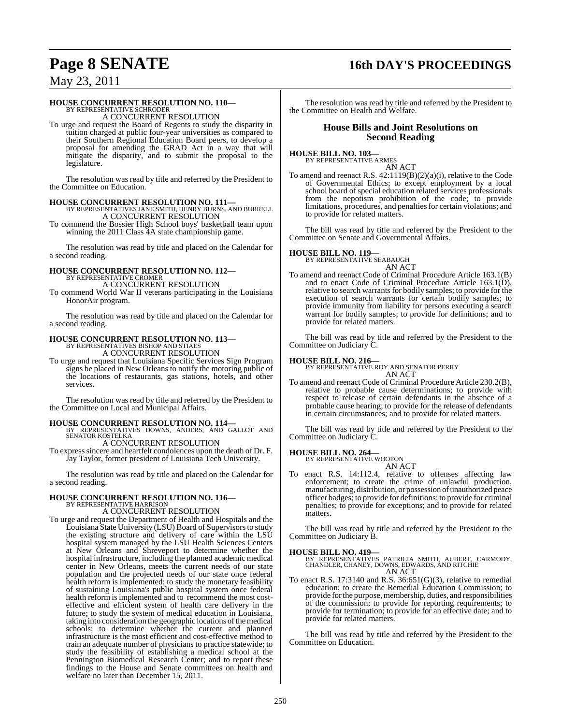# **Page 8 SENATE 16th DAY'S PROCEEDINGS**

May 23, 2011

# **HOUSE CONCURRENT RESOLUTION NO. 110—** BY REPRESENTATIVE SCHRODER

A CONCURRENT RESOLUTION

To urge and request the Board of Regents to study the disparity in tuition charged at public four-year universities as compared to their Southern Regional Education Board peers, to develop a proposal for amending the GRAD Act in a way that will mitigate the disparity, and to submit the proposal to the legislature.

The resolution was read by title and referred by the President to the Committee on Education.

- **HOUSE CONCURRENT RESOLUTION NO. 111—** BY REPRESENTATIVES JANE SMITH, HENRY BURNS, AND BURRELL A CONCURRENT RESOLUTION
- To commend the Bossier High School boys' basketball team upon winning the 2011 Class 4A state championship game.

The resolution was read by title and placed on the Calendar for a second reading.

#### **HOUSE CONCURRENT RESOLUTION NO. 112—** BY REPRESENTATIVE CROMER

A CONCURRENT RESOLUTION

To commend World War II veterans participating in the Louisiana HonorAir program.

The resolution was read by title and placed on the Calendar for a second reading.

# **HOUSE CONCURRENT RESOLUTION NO. 113—** BY REPRESENTATIVES BISHOP AND STIAES

A CONCURRENT RESOLUTION

To urge and request that Louisiana Specific Services Sign Program signs be placed in New Orleans to notify the motoring public of the locations of restaurants, gas stations, hotels, and other services.

The resolution was read by title and referred by the President to the Committee on Local and Municipal Affairs.

- **HOUSE CONCURRENT RESOLUTION NO. 114—** BY REPRESENTATIVES DOWNS, ANDERS, AND GALLOT AND SENATOR KOSTELKA A CONCURRENT RESOLUTION
- To expresssincere and heartfelt condolences upon the death of Dr. F. Jay Taylor, former president of Louisiana Tech University.

The resolution was read by title and placed on the Calendar for a second reading.

#### **HOUSE CONCURRENT RESOLUTION NO. 116—** BY REPRESENTATIVE HARRISON

A CONCURRENT RESOLUTION

To urge and request the Department of Health and Hospitals and the Louisiana State University (LSU) Board of Supervisorsto study the existing structure and delivery of care within the LSU hospital system managed by the LSU Health Sciences Centers at New Orleans and Shreveport to determine whether the hospital infrastructure, including the planned academic medical center in New Orleans, meets the current needs of our state population and the projected needs of our state once federal health reform is implemented; to study the monetary feasibility of sustaining Louisiana's public hospital system once federal health reform is implemented and to recommend the most costeffective and efficient system of health care delivery in the future; to study the system of medical education in Louisiana, taking into consideration the geographic locations of the medical schools; to determine whether the current and planned infrastructure is the most efficient and cost-effective method to train an adequate number of physicians to practice statewide; to study the feasibility of establishing a medical school at the Pennington Biomedical Research Center; and to report these findings to the House and Senate committees on health and welfare no later than December 15, 2011.

The resolution was read by title and referred by the President to the Committee on Health and Welfare.

#### **House Bills and Joint Resolutions on Second Reading**

#### **HOUSE BILL NO. 103—**

BY REPRESENTATIVE ARMES

AN ACT To amend and reenact R.S. 42:1119(B)(2)(a)(i), relative to the Code of Governmental Ethics; to except employment by a local school board of special education related services professionals from the nepotism prohibition of the code; to provide limitations, procedures, and penaltiesfor certain violations; and to provide for related matters.

The bill was read by title and referred by the President to the Committee on Senate and Governmental Affairs.

#### **HOUSE BILL NO. 119—**

BY REPRESENTATIVE SEABAUGH AN ACT

To amend and reenact Code of Criminal Procedure Article 163.1(B) and to enact Code of Criminal Procedure Article 163.1(D), relative to search warrants for bodily samples; to provide for the execution of search warrants for certain bodily samples; to provide immunity from liability for persons executing a search warrant for bodily samples; to provide for definitions; and to provide for related matters.

The bill was read by title and referred by the President to the Committee on Judiciary C.

**HOUSE BILL NO. 216—** BY REPRESENTATIVE ROY AND SENATOR PERRY AN ACT

To amend and reenact Code of Criminal Procedure Article 230.2(B), relative to probable cause determinations; to provide with respect to release of certain defendants in the absence of a probable cause hearing; to provide for the release of defendants in certain circumstances; and to provide for related matters.

The bill was read by title and referred by the President to the Committee on Judiciary C.

# **HOUSE BILL NO. 264—** BY REPRESENTATIVE WOOTON

AN ACT

To enact R.S. 14:112.4, relative to offenses affecting law enforcement; to create the crime of unlawful production, manufacturing, distribution, or possession of unauthorized peace officer badges; to provide for definitions; to provide for criminal penalties; to provide for exceptions; and to provide for related matters.

The bill was read by title and referred by the President to the Committee on Judiciary B.

## **HOUSE BILL NO. 419—**

BY REPRESENTATIVES PATRICIA SMITH, AUBERT, CARMODY, CHANDLER, CHANEY, DOWNS, EDWARDS, AND RITCHIE AN ACT

To enact R.S. 17:3140 and R.S. 36:651(G)(3), relative to remedial education; to create the Remedial Education Commission; to provide for the purpose, membership, duties, and responsibilities of the commission; to provide for reporting requirements; to provide for termination; to provide for an effective date; and to provide for related matters.

The bill was read by title and referred by the President to the Committee on Education.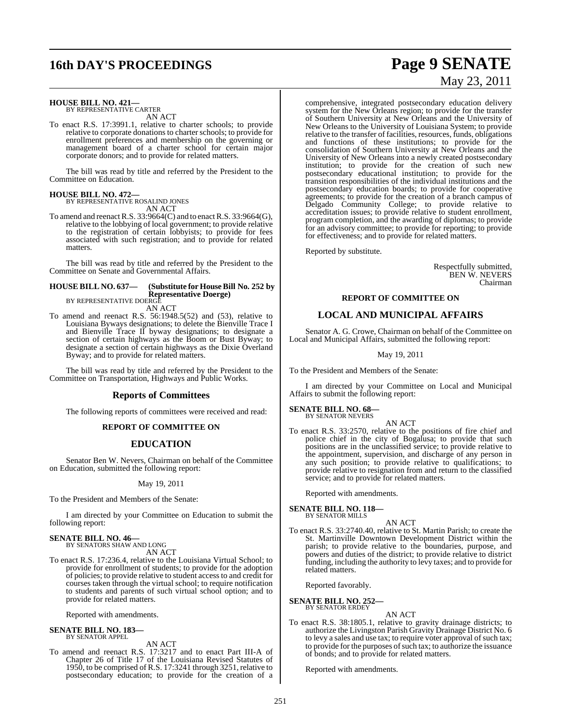# **16th DAY'S PROCEEDINGS Page 9 SENATE**

# **HOUSE BILL NO. 421—** BY REPRESENTATIVE CARTER

AN ACT

To enact R.S. 17:3991.1, relative to charter schools; to provide relative to corporate donations to charter schools; to provide for enrollment preferences and membership on the governing or management board of a charter school for certain major corporate donors; and to provide for related matters.

The bill was read by title and referred by the President to the Committee on Education.

# **HOUSE BILL NO. 472—**

BY REPRESENTATIVE ROSALIND JONES AN ACT

To amend and reenact R.S. 33:9664(C) and to enact R.S. 33:9664(G), relative to the lobbying of local government; to provide relative to the registration of certain lobbyists; to provide for fees associated with such registration; and to provide for related matters.

The bill was read by title and referred by the President to the Committee on Senate and Governmental Affairs.

#### **HOUSE BILL NO. 637— (Substitute for HouseBill No. 252 by Representative Doerge)** BY REPRESENTATIVE DOERGE

AN ACT

To amend and reenact R.S. 56:1948.5(52) and (53), relative to Louisiana Byways designations; to delete the Bienville Trace I and Bienville Trace II byway designations; to designate a section of certain highways as the Boom or Bust Byway; to designate a section of certain highways as the Dixie Overland Byway; and to provide for related matters.

The bill was read by title and referred by the President to the Committee on Transportation, Highways and Public Works.

### **Reports of Committees**

The following reports of committees were received and read:

#### **REPORT OF COMMITTEE ON**

### **EDUCATION**

Senator Ben W. Nevers, Chairman on behalf of the Committee on Education, submitted the following report:

May 19, 2011

To the President and Members of the Senate:

I am directed by your Committee on Education to submit the following report:

#### **SENATE BILL NO. 46—** BY SENATORS SHAW AND LONG

AN ACT

To enact R.S. 17:236.4, relative to the Louisiana Virtual School; to provide for enrollment of students; to provide for the adoption of policies; to provide relative to student access to and credit for courses taken through the virtual school; to require notification to students and parents of such virtual school option; and to provide for related matters.

Reported with amendments.

#### **SENATE BILL NO. 183—** BY SENATOR APPEL

#### AN ACT

To amend and reenact R.S. 17:3217 and to enact Part III-A of Chapter 26 of Title 17 of the Louisiana Revised Statutes of 1950, to be comprised of R.S. 17:3241 through 3251, relative to postsecondary education; to provide for the creation of a

# May 23, 2011

comprehensive, integrated postsecondary education delivery system for the New Orleans region; to provide for the transfer of Southern University at New Orleans and the University of New Orleans to the University of Louisiana System; to provide relative to the transfer of facilities, resources, funds, obligations and functions of these institutions; to provide for the consolidation of Southern University at New Orleans and the University of New Orleans into a newly created postsecondary institution; to provide for the creation of such new postsecondary educational institution; to provide for the transition responsibilities of the individual institutions and the postsecondary education boards; to provide for cooperative agreements; to provide for the creation of a branch campus of Delgado Community College; to provide relative to accreditation issues; to provide relative to student enrollment, program completion, and the awarding of diplomas; to provide for an advisory committee; to provide for reporting; to provide for effectiveness; and to provide for related matters.

Reported by substitute.

Respectfully submitted, BEN W. NEVERS Chairman

#### **REPORT OF COMMITTEE ON**

## **LOCAL AND MUNICIPAL AFFAIRS**

Senator A. G. Crowe, Chairman on behalf of the Committee on Local and Municipal Affairs, submitted the following report:

May 19, 2011

To the President and Members of the Senate:

I am directed by your Committee on Local and Municipal Affairs to submit the following report:

# **SENATE BILL NO. 68—** BY SENATOR NEVERS

AN ACT

To enact R.S. 33:2570, relative to the positions of fire chief and police chief in the city of Bogalusa; to provide that such positions are in the unclassified service; to provide relative to the appointment, supervision, and discharge of any person in any such position; to provide relative to qualifications; to provide relative to resignation from and return to the classified service; and to provide for related matters.

Reported with amendments.

#### **SENATE BILL NO. 118—** BY SENATOR MILLS

AN ACT

To enact R.S. 33:2740.40, relative to St. Martin Parish; to create the St. Martinville Downtown Development District within the parish; to provide relative to the boundaries, purpose, and powers and duties of the district; to provide relative to district funding, including the authority to levy taxes; and to provide for related matters.

Reported favorably.

#### **SENATE BILL NO. 252—** BY SENATOR ERDEY

AN ACT

To enact R.S. 38:1805.1, relative to gravity drainage districts; to authorize the Livingston Parish Gravity Drainage District No. 6 to levy a sales and use tax; to require voter approval of such tax; to provide for the purposes of such tax; to authorize the issuance of bonds; and to provide for related matters.

Reported with amendments.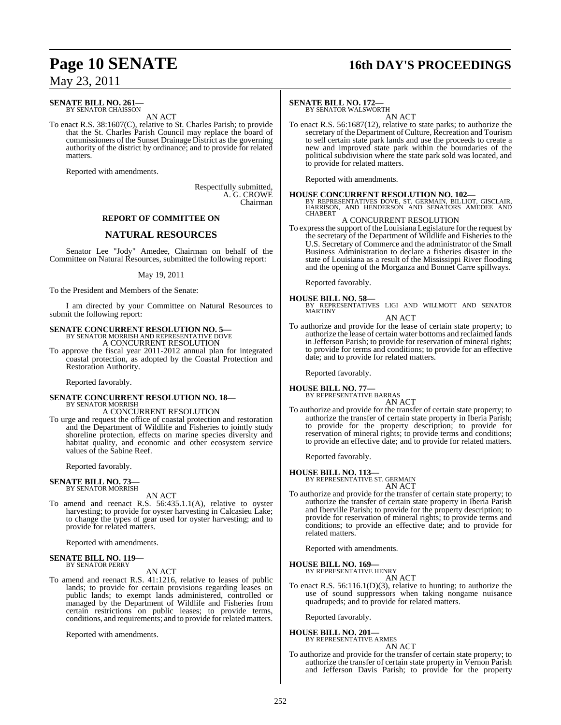#### **SENATE BILL NO. 261—** BY SENATOR CHAISSON

AN ACT

To enact R.S. 38:1607(C), relative to St. Charles Parish; to provide that the St. Charles Parish Council may replace the board of commissioners of the Sunset Drainage District as the governing authority of the district by ordinance; and to provide for related matters.

Reported with amendments.

Respectfully submitted, A. G. CROWE Chairman

#### **REPORT OF COMMITTEE ON**

#### **NATURAL RESOURCES**

Senator Lee "Jody" Amedee, Chairman on behalf of the Committee on Natural Resources, submitted the following report:

#### May 19, 2011

To the President and Members of the Senate:

I am directed by your Committee on Natural Resources to submit the following report:

## **SENATE CONCURRENT RESOLUTION NO. 5—** BY SENATOR MORRISH AND REPRESENTATIVE DOVE A CONCURRENT RESOLUTION

To approve the fiscal year 2011-2012 annual plan for integrated coastal protection, as adopted by the Coastal Protection and Restoration Authority.

Reported favorably.

#### **SENATE CONCURRENT RESOLUTION NO. 18—** BY SENATOR MORRISH A CONCURRENT RESOLUTION

To urge and request the office of coastal protection and restoration and the Department of Wildlife and Fisheries to jointly study shoreline protection, effects on marine species diversity and habitat quality, and economic and other ecosystem service values of the Sabine Reef.

Reported favorably.

#### **SENATE BILL NO. 73—** BY SENATOR MORRISH

AN ACT

To amend and reenact R.S. 56:435.1.1(A), relative to oyster harvesting; to provide for oyster harvesting in Calcasieu Lake; to change the types of gear used for oyster harvesting; and to provide for related matters.

Reported with amendments.

#### **SENATE BILL NO. 119—** BY SENATOR PERRY

AN ACT

To amend and reenact R.S. 41:1216, relative to leases of public lands; to provide for certain provisions regarding leases on public lands; to exempt lands administered, controlled or managed by the Department of Wildlife and Fisheries from certain restrictions on public leases; to provide terms, conditions, and requirements; and to provide for related matters.

Reported with amendments.

# **Page 10 SENATE 16th DAY'S PROCEEDINGS**

#### **SENATE BILL NO. 172—**

BY SENATOR WALSWORTH AN ACT

To enact R.S. 56:1687(12), relative to state parks; to authorize the secretary of the Department of Culture, Recreation and Tourism to sell certain state park lands and use the proceeds to create a new and improved state park within the boundaries of the political subdivision where the state park sold was located, and to provide for related matters.

Reported with amendments.

**HOUSE CONCURRENT RESOLUTION NO. 102—**

BY REPRESENTATIVES DOVE, ST. GERMAIN, BILLIOT, GISCLAIR, HARRISON, AND HENDERSON AND SENATORS AMEDEE AND **CHABERT** 

A CONCURRENT RESOLUTION

To expressthe support of the Louisiana Legislature for the request by the secretary of the Department of Wildlife and Fisheries to the U.S. Secretary of Commerce and the administrator of the Small Business Administration to declare a fisheries disaster in the state of Louisiana as a result of the Mississippi River flooding and the opening of the Morganza and Bonnet Carre spillways.

Reported favorably.

**HOUSE BILL NO. 58—** BY REPRESENTATIVES LIGI AND WILLMOTT AND SENATOR MARTINY

AN ACT

To authorize and provide for the lease of certain state property; to authorize the lease of certain water bottoms and reclaimed lands in Jefferson Parish; to provide for reservation of mineral rights; to provide for terms and conditions; to provide for an effective date; and to provide for related matters.

Reported favorably.

**HOUSE BILL NO. 77—**

BY REPRESENTATIVE BARRAS AN ACT

To authorize and provide for the transfer of certain state property; to authorize the transfer of certain state property in Iberia Parish; to provide for the property description; to provide for reservation of mineral rights; to provide terms and conditions; to provide an effective date; and to provide for related matters.

Reported favorably.

# **HOUSE BILL NO. 113—** BY REPRESENTATIVE ST. GERMAIN

AN ACT

To authorize and provide for the transfer of certain state property; to authorize the transfer of certain state property in Iberia Parish and Iberville Parish; to provide for the property description; to provide for reservation of mineral rights; to provide terms and conditions; to provide an effective date; and to provide for related matters.

Reported with amendments.

**HOUSE BILL NO. 169—** BY REPRESENTATIVE HENRY

AN ACT

To enact R.S. 56:116.1(D)(3), relative to hunting; to authorize the use of sound suppressors when taking nongame nuisance quadrupeds; and to provide for related matters.

Reported favorably.

**HOUSE BILL NO. 201—**

BY REPRESENTATIVE ARMES AN ACT

To authorize and provide for the transfer of certain state property; to authorize the transfer of certain state property in Vernon Parish and Jefferson Davis Parish; to provide for the property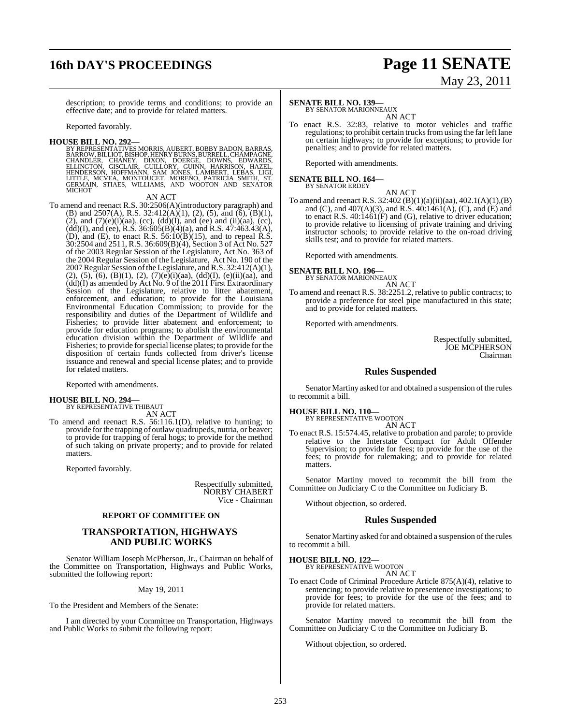# **16th DAY'S PROCEEDINGS Page 11 SENATE**

# May 23, 2011

description; to provide terms and conditions; to provide an effective date; and to provide for related matters.

Reported favorably.

**HOUSE BILL NO. 292—**<br>BY REPRESENTATIVES MORRIS, AUBERT, BOBBY BADON, BARRAS,<br>BARROW, BILLIOT, BISHOP, HENRY BURNS, BURRELL, CHAMPAGNE,<br>CHANDLER, CHANEY, DIXON, DOERGE, DOWNS, EDWARDS,<br>ELLINGTON, GISCLAIR, GUILLORY, GUINN,

#### AN ACT

To amend and reenact R.S. 30:2506(A)(introductory paragraph) and (B) and 2507(A), R.S. 32:412(A)(1), (2), (5), and (6),  $(B)(1)$ , (2), and  $(7)(e)(i)(aa)$ , (cc),  $(dd)(I)$ , and (ee) and (ii)(aa), (cc),  $(dd)(I)$ , and (ee), R.S. 36:605(B)(4)(a), and R.S. 47:463.43(A), (D), and (E), to enact R.S.  $56:10(B)(15)$ , and to repeal R.S. 30:2504 and 2511, R.S. 36:609(B)(4), Section 3 of Act No. 527 of the 2003 Regular Session of the Legislature, Act No. 363 of the 2004 Regular Session of the Legislature, Act No. 190 of the 2007Regular Session ofthe Legislature, andR.S. 32:412(A)(1),  $(2)$ ,  $(5)$ ,  $(6)$ ,  $(B)(1)$ ,  $(2)$ ,  $(7)(e)(i)(aa)$ ,  $(dd)(I)$ ,  $(e)(ii)(aa)$ , and (dd)(I) as amended by Act No. 9 of the 2011 First Extraordinary Session of the Legislature, relative to litter abatement, enforcement, and education; to provide for the Louisiana Environmental Education Commission; to provide for the responsibility and duties of the Department of Wildlife and Fisheries; to provide litter abatement and enforcement; to provide for education programs; to abolish the environmental education division within the Department of Wildlife and Fisheries; to provide for special license plates; to provide for the disposition of certain funds collected from driver's license issuance and renewal and special license plates; and to provide for related matters.

Reported with amendments.

# **HOUSE BILL NO. 294—** BY REPRESENTATIVE THIBAUT

AN ACT

To amend and reenact R.S. 56:116.1(D), relative to hunting; to provide for the trapping of outlaw quadrupeds, nutria, or beaver; to provide for trapping of feral hogs; to provide for the method of such taking on private property; and to provide for related matters.

Reported favorably.

Respectfully submitted, NORBY CHABERT Vice - Chairman

#### **REPORT OF COMMITTEE ON**

#### **TRANSPORTATION, HIGHWAYS AND PUBLIC WORKS**

Senator William Joseph McPherson, Jr., Chairman on behalf of the Committee on Transportation, Highways and Public Works, submitted the following report:

May 19, 2011

To the President and Members of the Senate:

I am directed by your Committee on Transportation, Highways and Public Works to submit the following report:

## **SENATE BILL NO. 139—**

BY SENATOR MARIONNEAUX AN ACT

To enact R.S. 32:83, relative to motor vehicles and traffic regulations; to prohibit certain trucks from using the far left lane on certain highways; to provide for exceptions; to provide for penalties; and to provide for related matters.

Reported with amendments.

# **SENATE BILL NO. 164—** BY SENATOR ERDEY

AN ACT

To amend and reenact R.S. 32:402 (B)(1)(a)(ii)(aa), 402.1(A)(1),(B) and (C), and 407(A)(3), and R.S. 40:1461(A), (C), and (E) and to enact R.S. 40:1461(F) and (G), relative to driver education; to provide relative to licensing of private training and driving instructor schools; to provide relative to the on-road driving skills test; and to provide for related matters.

Reported with amendments.

#### **SENATE BILL NO. 196—** BY SENATOR MARIONNEAUX

AN ACT

To amend and reenact R.S. 38:2251.2, relative to public contracts; to provide a preference for steel pipe manufactured in this state; and to provide for related matters.

Reported with amendments.

Respectfully submitted, JOE MCPHERSON Chairman

### **Rules Suspended**

Senator Martiny asked for and obtained a suspension of the rules to recommit a bill.

**HOUSE BILL NO. 110—** BY REPRESENTATIVE WOOTON

AN ACT

To enact R.S. 15:574.45, relative to probation and parole; to provide relative to the Interstate Compact for Adult Offender Supervision; to provide for fees; to provide for the use of the fees; to provide for rulemaking; and to provide for related matters.

Senator Martiny moved to recommit the bill from the Committee on Judiciary C to the Committee on Judiciary B.

Without objection, so ordered.

### **Rules Suspended**

Senator Martiny asked for and obtained a suspension of the rules to recommit a bill.

#### **HOUSE BILL NO. 122—**

BY REPRESENTATIVE WOOTON AN ACT

To enact Code of Criminal Procedure Article 875(A)(4), relative to sentencing; to provide relative to presentence investigations; to provide for fees; to provide for the use of the fees; and to provide for related matters.

Senator Martiny moved to recommit the bill from the Committee on Judiciary C to the Committee on Judiciary B.

Without objection, so ordered.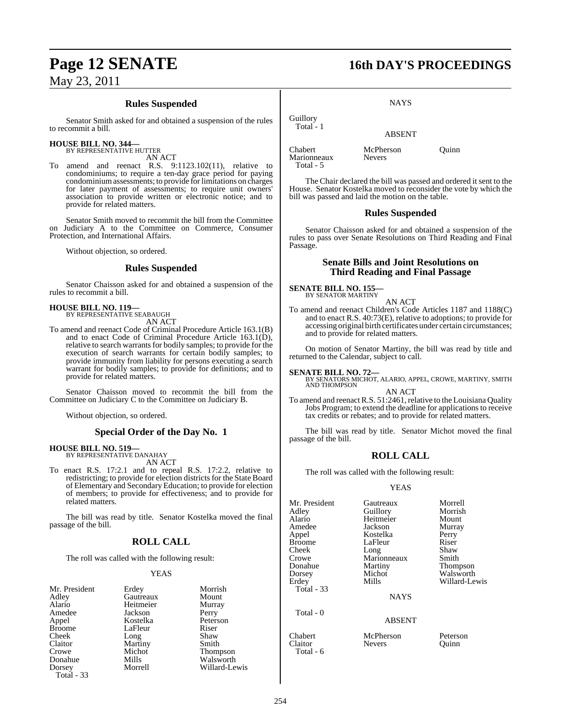## **Rules Suspended**

Senator Smith asked for and obtained a suspension of the rules to recommit a bill.

#### **HOUSE BILL NO. 344—**

BY REPRESENTATIVE HUTTER AN ACT

To amend and reenact R.S. 9:1123.102(11), relative to condominiums; to require a ten-day grace period for paying condominium assessments; to provide for limitations on charges for later payment of assessments; to require unit owners' association to provide written or electronic notice; and to provide for related matters.

Senator Smith moved to recommit the bill from the Committee on Judiciary A to the Committee on Commerce, Consumer Protection, and International Affairs.

Without objection, so ordered.

#### **Rules Suspended**

Senator Chaisson asked for and obtained a suspension of the rules to recommit a bill.

#### **HOUSE BILL NO. 119—** BY REPRESENTATIVE SEABAUGH

AN ACT

To amend and reenact Code of Criminal Procedure Article 163.1(B) and to enact Code of Criminal Procedure Article 163.1(D), relative to search warrants for bodily samples; to provide for the execution of search warrants for certain bodily samples; to provide immunity from liability for persons executing a search warrant for bodily samples; to provide for definitions; and to provide for related matters.

Senator Chaisson moved to recommit the bill from the Committee on Judiciary C to the Committee on Judiciary B.

Without objection, so ordered.

### **Special Order of the Day No. 1**

# **HOUSE BILL NO. 519—** BY REPRESENTATIVE DANAHAY

AN ACT

To enact R.S. 17:2.1 and to repeal R.S. 17:2.2, relative to redistricting; to provide for election districts for the State Board of Elementary and Secondary Education; to provide for election of members; to provide for effectiveness; and to provide for related matters.

The bill was read by title. Senator Kostelka moved the final passage of the bill.

### **ROLL CALL**

The roll was called with the following result:

Jackson<br>Kostelka

LaFleur

Martiny<br>Michot

#### YEAS

| Mr. President |  |
|---------------|--|
| Adley         |  |
| Alario        |  |
| Amedee        |  |
| Appel         |  |
| <b>Broome</b> |  |
| Cheek         |  |
| Claitor       |  |
| Crowe         |  |
| Donahue       |  |
| Dorsey        |  |
| Total - 33    |  |

Erdey Morrish<br>
Gautreaux Mount Gautreaux Mount<br>
Heitmeier Murray Heitmeier Murra<br>
Jackson Perry Peterson<br>Riser Long Shaw<br>Martiny Smith Michot Thompson<br>Mills Walsworth Mills Walsworth<br>Morrell Willard-Le Willard-Lewis

# **Page 12 SENATE 16th DAY'S PROCEEDINGS**

**NAYS** 

#### ABSENT

Chabert McPherson Quinn<br>Marionneaux Nevers Marionneaux Total - 5

Guillory Total - 1

The Chair declared the bill was passed and ordered it sent to the House. Senator Kostelka moved to reconsider the vote by which the bill was passed and laid the motion on the table.

#### **Rules Suspended**

Senator Chaisson asked for and obtained a suspension of the rules to pass over Senate Resolutions on Third Reading and Final Passage.

#### **Senate Bills and Joint Resolutions on Third Reading and Final Passage**

**SENATE BILL NO. 155—** BY SENATOR MARTINY

AN ACT

To amend and reenact Children's Code Articles 1187 and 1188(C) and to enact R.S. 40:73(E), relative to adoptions; to provide for accessing original birth certificates under certain circumstances; and to provide for related matters.

On motion of Senator Martiny, the bill was read by title and returned to the Calendar, subject to call.

**SENATE BILL NO. 72—**<br>BY SENATORS MICHOT, ALARIO, APPEL, CROWE, MARTINY, SMITH<br>AND THOMPSON AN ACT

To amend and reenact R.S. 51:2461, relative to the Louisiana Quality Jobs Program; to extend the deadline for applicationsto receive tax credits or rebates; and to provide for related matters.

The bill was read by title. Senator Michot moved the final passage of the bill.

### **ROLL CALL**

The roll was called with the following result:

#### YEAS

Mr. President Gautreaux Morrell Dorsey Michot Walsworth<br>
Erdey Mills Willard-Le Total - 33

Total - 0

Total - 6

Adley Guillory Morrish Heitmeier Mount<br>Jackson Murray Amedee Jackson Murray Appel Kostelka Perry LaFleur Riser<br>Long Shaw Cheek Long Shaw<br>Crowe Marionneaux Smith Crowe Marionneaux<br>
Donahue Martiny Martiny Thompson<br>
Michot Walsworth

NAYS

#### ABSENT

Chabert McPherson Peterson Claitor Nevers Quinn

Willard-Lewis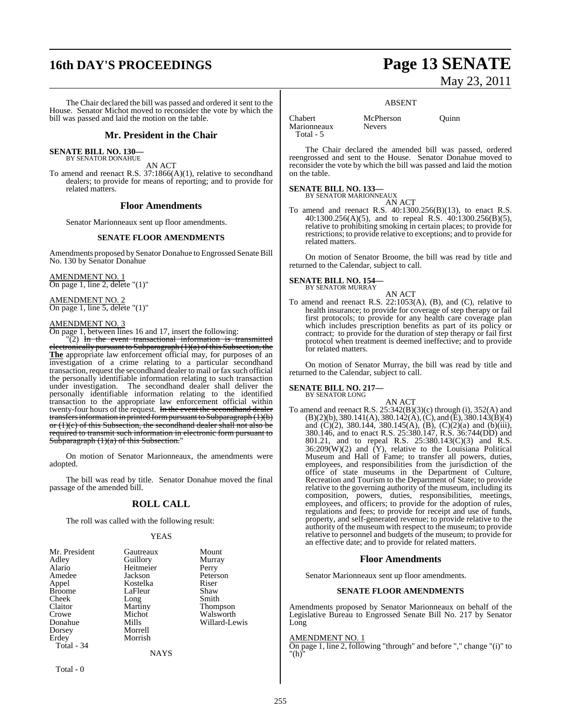# **16th DAY'S PROCEEDINGS Page 13 SENATE**

The Chair declared the bill was passed and ordered it sent to the House. Senator Michot moved to reconsider the vote by which the bill was passed and laid the motion on the table.

#### **Mr. President in the Chair**

**SENATE BILL NO. 130—** BY SENATOR DONAHUE

AN ACT

To amend and reenact R.S. 37:1866(A)(1), relative to secondhand dealers; to provide for means of reporting; and to provide for related matters.

#### **Floor Amendments**

Senator Marionneaux sent up floor amendments.

#### **SENATE FLOOR AMENDMENTS**

Amendments proposed by Senator Donahue to Engrossed Senate Bill No. 130 by Senator Donahue

AMENDMENT NO. 1 On page 1, line 2, delete "(1)"

AMENDMENT NO. 2 On page 1, line 5, delete "(1)"

#### AMENDMENT NO. 3

On page 1, between lines 16 and 17, insert the following:

"(2) In the event transactional information is transmitted electronically pursuant to Subparagraph (1)(a) of this Subsection, the **The** appropriate law enforcement official may, for purposes of an investigation of a crime relating to a particular secondhand transaction, request the secondhand dealer to mail or fax such official the personally identifiable information relating to such transaction under investigation. The secondhand dealer shall deliver the personally identifiable information relating to the identified transaction to the appropriate law enforcement official within twenty-four hours of the request. In the event the second hand dealer transfers information in printed form pursuant to Subparagraph  $(1)(b)$ or  $(1)(c)$  of this Subsection, the secondhand dealer shall not also be required to transmit such information in electronic form pursuant to Subparagraph  $(1)(a)$  of this Subsection."

On motion of Senator Marionneaux, the amendments were adopted.

The bill was read by title. Senator Donahue moved the final passage of the amended bill.

## **ROLL CALL**

The roll was called with the following result:

#### YEAS

| Mr. President | Gautreaux | Mount         |
|---------------|-----------|---------------|
| Adley         | Guillory  | Murray        |
| Alario        | Heitmeier | Perry         |
| Amedee        | Jackson   | Peterson      |
| Appel         | Kostelka  | Riser         |
| <b>Broome</b> | LaFleur   | Shaw          |
| Cheek         | Long      | Smith         |
| Claitor       | Martiny   | Thompson      |
| Crowe         | Michot    | Walsworth     |
| Donahue       | Mills     | Willard-Lewis |
| Dorsey        | Morrell   |               |
| Erdey         | Morrish   |               |
| Total - 34    |           |               |
|               | NAYS      |               |

Total - 0

# May 23, 2011

#### ABSENT

Chabert McPherson Quinn<br>Marionneaux Nevers Marionneaux Total - 5

The Chair declared the amended bill was passed, ordered reengrossed and sent to the House. Senator Donahue moved to reconsider the vote by which the bill was passed and laid the motion on the table.

# **SENATE BILL NO. 133—** BY SENATOR MARIONNEAUX

AN ACT To amend and reenact R.S. 40:1300.256(B)(13), to enact R.S. 40:1300.256(A)(5), and to repeal R.S. 40:1300.256(B)(5), relative to prohibiting smoking in certain places; to provide for restrictions; to provide relative to exceptions; and to provide for related matters.

On motion of Senator Broome, the bill was read by title and returned to the Calendar, subject to call.

#### **SENATE BILL NO. 154—**

BY SENATOR MURRAY

AN ACT To amend and reenact R.S. 22:1053(A), (B), and (C), relative to health insurance; to provide for coverage of step therapy or fail first protocols; to provide for any health care coverage plan which includes prescription benefits as part of its policy or contract; to provide for the duration of step therapy or fail first protocol when treatment is deemed ineffective; and to provide for related matters.

On motion of Senator Murray, the bill was read by title and returned to the Calendar, subject to call.

#### **SENATE BILL NO. 217—** BY SENATOR LONG

AN ACT To amend and reenact R.S. 25:342(B)(3)(c) through (i), 352(A) and  $(B)(2)(b)$ , 380.141(A), 380.142(A), (C), and (E), 380.143(B)(4) and  $(C)(2)$ , 380.144, 380.145(A), (B),  $(C)(2)(a)$  and (b)(iii), 380.146, and to enact R.S. 25:380.147, R.S. 36:744(DD) and 801.21, and to repeal R.S. 25:380.143(C)(3) and R.S.  $36:209(W)(2)$  and  $(Y)$ , relative to the Louisiana Political Museum and Hall of Fame; to transfer all powers, duties, employees, and responsibilities from the jurisdiction of the office of state museums in the Department of Culture, Recreation and Tourism to the Department of State; to provide relative to the governing authority of the museum, including its composition, powers, duties, responsibilities, meetings, employees, and officers; to provide for the adoption of rules, regulations and fees; to provide for receipt and use of funds, property, and self-generated revenue; to provide relative to the authority of the museum with respect to the museum; to provide relative to personnel and budgets of the museum; to provide for an effective date; and to provide for related matters.

#### **Floor Amendments**

Senator Marionneaux sent up floor amendments.

#### **SENATE FLOOR AMENDMENTS**

Amendments proposed by Senator Marionneaux on behalf of the Legislative Bureau to Engrossed Senate Bill No. 217 by Senator Long

#### AMENDMENT NO. 1

On page 1, line 2, following "through" and before "," change "(i)" to "(h)"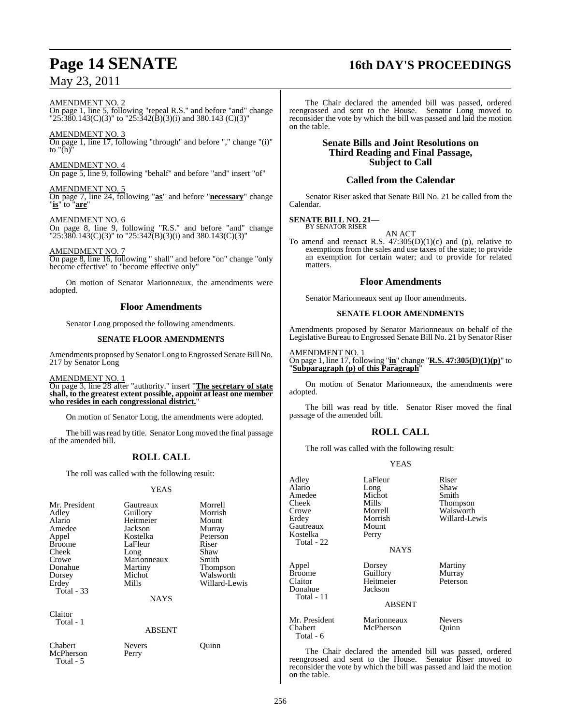#### AMENDMENT NO. 2

On page 1, line 5, following "repeal R.S." and before "and" change " $25\overline{380}$ .143(C)(3)" to " $25\overline{.342}$ (B)(3)(i) and 380.143 (C)(3)"

#### AMENDMENT NO. 3

On page 1, line 17, following "through" and before "," change "(i)" to "(h)"

AMENDMENT NO. 4 On page 5, line 9, following "behalf" and before "and" insert "of"

#### AMENDMENT NO. 5

On page 7, line 24, following "**as**" and before "**necessary**" change "**is**" to "**are**"

#### AMENDMENT NO. 6

On page 8, line 9, following "R.S." and before "and" change " $25:\overline{380}.143(C)(3)$ " to " $25:342(B)(3)(i)$  and  $380.143(C)(3)$ "

#### AMENDMENT NO. 7

On page 8, line 16, following " shall" and before "on" change "only become effective" to "become effective only"

On motion of Senator Marionneaux, the amendments were adopted.

### **Floor Amendments**

Senator Long proposed the following amendments.

#### **SENATE FLOOR AMENDMENTS**

Amendments proposed by Senator Long to Engrossed Senate Bill No. 217 by Senator Long

AMENDMENT NO. 1

On page 3, line 28 after "authority." insert "**The secretary of state shall, to the greatest extent possible, appoint at least one member who resides in each congressional district.**"

On motion of Senator Long, the amendments were adopted.

The bill was read by title. Senator Long moved the final passage of the amended bill.

## **ROLL CALL**

The roll was called with the following result:

#### YEAS

| Mr. President | Gautreaux     | Morrell         |
|---------------|---------------|-----------------|
| Adley         | Guillory      | Morrish         |
| Alario        | Heitmeier     | Mount           |
| Amedee        | Jackson       | Murray          |
| Appel         | Kostelka      | Peterson        |
| <b>Broome</b> | LaFleur       | Riser           |
| Cheek         | Long          | Shaw            |
| Crowe         | Marionneaux   | Smith           |
| Donahue       | Martiny       | <b>Thompson</b> |
|               | Michot        | Walsworth       |
| Dorsey        | Mills         | Willard-Lewis   |
| Erdey         |               |                 |
| Total - 33    |               |                 |
|               | <b>NAYS</b>   |                 |
| Claitor       |               |                 |
| Total - 1     |               |                 |
|               | <b>ABSENT</b> |                 |
|               |               |                 |
| Chabert       | <b>Nevers</b> | uınn            |

McPherson Perry Total - 5

The Chair declared the amended bill was passed, ordered reengrossed and sent to the House. Senator Long moved to reconsider the vote by which the bill was passed and laid the motion on the table.

#### **Senate Bills and Joint Resolutions on Third Reading and Final Passage, Subject to Call**

### **Called from the Calendar**

Senator Riser asked that Senate Bill No. 21 be called from the Calendar.

#### **SENATE BILL NO. 21—** BY SENATOR RISER

AN ACT

To amend and reenact R.S.  $47:305(D)(1)(c)$  and (p), relative to exemptions from the sales and use taxes of the state; to provide an exemption for certain water; and to provide for related matters.

#### **Floor Amendments**

Senator Marionneaux sent up floor amendments.

#### **SENATE FLOOR AMENDMENTS**

Amendments proposed by Senator Marionneaux on behalf of the Legislative Bureau to Engrossed Senate Bill No. 21 by Senator Riser

#### AMENDMENT NO. 1

On page 1, line 17, following "**in**" change "**R.S. 47:305(D)(1)(p)**" to "**Subparagraph (p) of this Paragraph**"

On motion of Senator Marionneaux, the amendments were adopted.

The bill was read by title. Senator Riser moved the final passage of the amended bill.

## **ROLL CALL**

The roll was called with the following result:

#### YEAS

| Adley<br>Alario<br>Amedee<br>Cheek<br>Crowe<br>Erdey<br>Gautreaux<br>Kostelka<br>Total - 22 | LaFleur<br>Long<br>Michot<br>Mills<br>Morrell<br>Morrish<br>Mount<br>Perry<br><b>NAYS</b> | Riser<br>Shaw<br>Smith<br>Thompson<br>Walsworth<br>Willard-Lewis |
|---------------------------------------------------------------------------------------------|-------------------------------------------------------------------------------------------|------------------------------------------------------------------|
| Appel<br><b>Broome</b><br>Claitor<br>Donahue<br>Total - 11                                  | Dorsey<br>Guillory<br>Heitmeier<br>Jackson<br><b>ABSENT</b>                               | Martiny<br>Murray<br>Peterson                                    |
| Mr. President<br>Chabert<br>Total - 6                                                       | Marionneaux<br>McPherson                                                                  | <b>Nevers</b><br>Ouinn                                           |

The Chair declared the amended bill was passed, ordered reengrossed and sent to the House. Senator Riser moved to reconsider the vote by which the bill was passed and laid the motion on the table.

# **Page 14 SENATE 16th DAY'S PROCEEDINGS**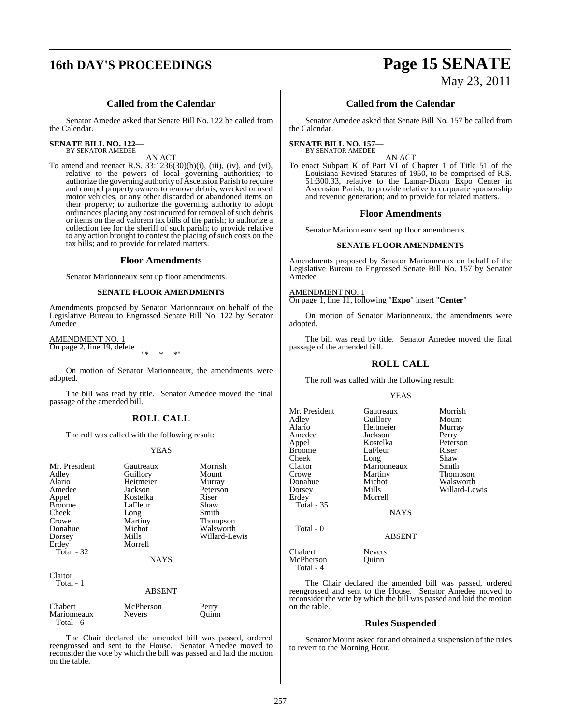# **16th DAY'S PROCEEDINGS Page 15 SENATE**

# May 23, 2011

## **Called from the Calendar**

Senator Amedee asked that Senate Bill No. 122 be called from the Calendar.

#### **SENATE BILL NO. 122—**

BY SENATOR AMEDEE

AN ACT

To amend and reenact R.S.  $33:1236(30)(b)(i)$ , (iii), (iv), and (vi), relative to the powers of local governing authorities; to authorize the governing authority of Ascension Parish to require and compel property owners to remove debris, wrecked or used motor vehicles, or any other discarded or abandoned items on their property; to authorize the governing authority to adopt ordinances placing any cost incurred for removal of such debris or items on the ad valorem tax bills of the parish; to authorize a collection fee for the sheriff of such parish; to provide relative to any action brought to contest the placing of such costs on the tax bills; and to provide for related matters.

#### **Floor Amendments**

Senator Marionneaux sent up floor amendments.

#### **SENATE FLOOR AMENDMENTS**

Amendments proposed by Senator Marionneaux on behalf of the Legislative Bureau to Engrossed Senate Bill No. 122 by Senator Amedee

AMENDMENT NO. 1 On page 2, line 19, delete "\* \* \*"

On motion of Senator Marionneaux, the amendments were adopted.

The bill was read by title. Senator Amedee moved the final passage of the amended bill.

#### **ROLL CALL**

The roll was called with the following result:

#### YEAS

| Mr. President<br>Adley<br>Alario<br>Amedee<br>Appel<br><b>Broome</b><br>Cheek | Gautreaux<br>Guillory<br>Heitmeier<br>Jackson<br>Kostelka<br>LaFleur | Morrish<br>Mount<br>Murray<br>Peterson<br>Riser<br>Shaw<br>Smith |
|-------------------------------------------------------------------------------|----------------------------------------------------------------------|------------------------------------------------------------------|
| Crowe<br>Donahue<br>Dorsey<br>Erdey<br>Total - 32                             | Long<br>Martiny<br>Michot<br>Mills<br>Morrell<br><b>NAYS</b>         | Thompson<br>Walsworth<br>Willard-Lewis                           |
| Claitor<br>Total - 1                                                          | <b>ABSENT</b>                                                        |                                                                  |
| Chabert                                                                       | McPherson                                                            | Perry                                                            |

## Marionneaux Nevers Quinn Total - 6

The Chair declared the amended bill was passed, ordered reengrossed and sent to the House. Senator Amedee moved to reconsider the vote by which the bill was passed and laid the motion on the table.

### **Called from the Calendar**

Senator Amedee asked that Senate Bill No. 157 be called from the Calendar.

#### **SENATE BILL NO. 157—** BY SENATOR AMEDEE

AN ACT

To enact Subpart K of Part VI of Chapter 1 of Title 51 of the Louisiana Revised Statutes of 1950, to be comprised of R.S. 51:300.33, relative to the Lamar-Dixon Expo Center in Ascension Parish; to provide relative to corporate sponsorship and revenue generation; and to provide for related matters.

#### **Floor Amendments**

Senator Marionneaux sent up floor amendments.

#### **SENATE FLOOR AMENDMENTS**

Amendments proposed by Senator Marionneaux on behalf of the Legislative Bureau to Engrossed Senate Bill No. 157 by Senator Amedee

AMENDMENT NO. 1

On page 1, line 11, following "**Expo**" insert "**Center**"

On motion of Senator Marionneaux, the amendments were adopted.

The bill was read by title. Senator Amedee moved the final passage of the amended bill.

#### **ROLL CALL**

The roll was called with the following result:

#### YEAS

| Mr. President     | Gautreaux     | Morrish       |
|-------------------|---------------|---------------|
| Adley             | Guillory      | Mount         |
| Alario            | Heitmeier     | Murray        |
| Amedee            | Jackson       | Perry         |
| Appel             | Kostelka      | Peterson      |
| <b>Broome</b>     | LaFleur       | Riser         |
| Cheek             | Long          | Shaw          |
| Claitor           | Marionneaux   | Smith         |
| Crowe             | Martiny       | Thompson      |
| Donahue           | Michot        | Walsworth     |
| Dorsey            | Mills         | Willard-Lewis |
| Erdey             | Morrell       |               |
| <b>Total - 35</b> |               |               |
|                   | <b>NAYS</b>   |               |
| Total - 0         |               |               |
|                   | <b>ABSENT</b> |               |
| Chabert           | <b>Nevers</b> |               |
| McPherson         | Ouinn         |               |
| T11               |               |               |

#### ABSENT

Chabert Nevers<br>
McPherson Quinn Quinn Total - 4

The Chair declared the amended bill was passed, ordered reengrossed and sent to the House. Senator Amedee moved to reconsider the vote by which the bill was passed and laid the motion on the table.

#### **Rules Suspended**

Senator Mount asked for and obtained a suspension of the rules to revert to the Morning Hour.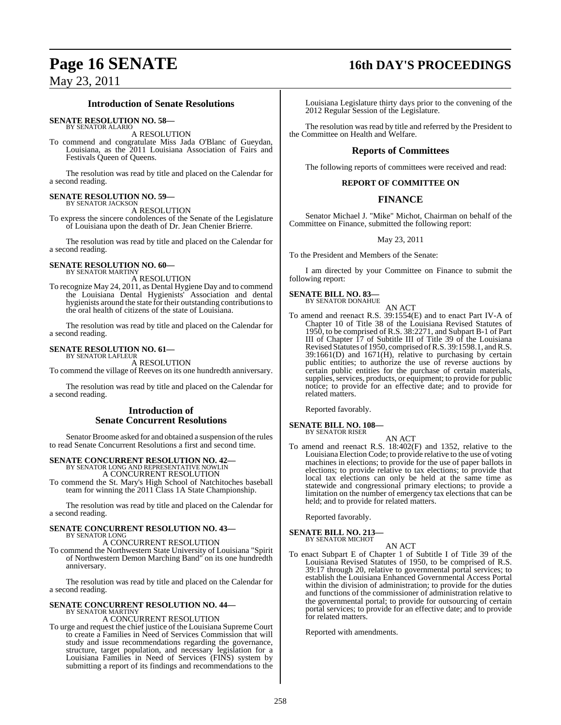## **Introduction of Senate Resolutions**

**SENATE RESOLUTION NO. 58—**

BY SENATOR ALARIO A RESOLUTION

To commend and congratulate Miss Jada O'Blanc of Gueydan, Louisiana, as the 2011 Louisiana Association of Fairs and Festivals Queen of Queens.

The resolution was read by title and placed on the Calendar for a second reading.

# **SENATE RESOLUTION NO. 59—** BY SENATOR JACKSON

A RESOLUTION

To express the sincere condolences of the Senate of the Legislature of Louisiana upon the death of Dr. Jean Chenier Brierre.

The resolution was read by title and placed on the Calendar for a second reading.

#### **SENATE RESOLUTION NO. 60—** BY SENATOR MARTINY

A RESOLUTION

To recognize May 24, 2011, as Dental Hygiene Day and to commend the Louisiana Dental Hygienists' Association and dental hygienists around the state for their outstanding contributionsto the oral health of citizens of the state of Louisiana.

The resolution was read by title and placed on the Calendar for a second reading.

#### **SENATE RESOLUTION NO. 61—** BY SENATOR LAFLEUR

A RESOLUTION

To commend the village of Reeves on its one hundredth anniversary.

The resolution was read by title and placed on the Calendar for a second reading.

### **Introduction of Senate Concurrent Resolutions**

Senator Broome asked for and obtained a suspension of the rules to read Senate Concurrent Resolutions a first and second time.

# **SENATE CONCURRENT RESOLUTION NO. 42—** BY SENATOR LONG AND REPRESENTATIVE NOWLIN

A CONCURRENT RESOLUTION

To commend the St. Mary's High School of Natchitoches baseball team for winning the 2011 Class 1A State Championship.

The resolution was read by title and placed on the Calendar for a second reading.

#### **SENATE CONCURRENT RESOLUTION NO. 43—** BY SENATOR LONG

A CONCURRENT RESOLUTION

To commend the Northwestern State University of Louisiana "Spirit of Northwestern Demon Marching Band" on its one hundredth anniversary.

The resolution was read by title and placed on the Calendar for a second reading.

# **SENATE CONCURRENT RESOLUTION NO. 44—** BY SENATOR MARTINY

#### A CONCURRENT RESOLUTION

To urge and request the chief justice of the Louisiana Supreme Court to create a Families in Need of Services Commission that will study and issue recommendations regarding the governance, structure, target population, and necessary legislation for a Louisiana Families in Need of Services (FINS) system by submitting a report of its findings and recommendations to the

# **Page 16 SENATE 16th DAY'S PROCEEDINGS**

Louisiana Legislature thirty days prior to the convening of the 2012 Regular Session of the Legislature.

The resolution was read by title and referred by the President to the Committee on Health and Welfare.

## **Reports of Committees**

The following reports of committees were received and read:

### **REPORT OF COMMITTEE ON**

## **FINANCE**

Senator Michael J. "Mike" Michot, Chairman on behalf of the Committee on Finance, submitted the following report:

#### May 23, 2011

To the President and Members of the Senate:

I am directed by your Committee on Finance to submit the following report:

#### **SENATE BILL NO. 83—** BY SENATOR DONAHUE

AN ACT

To amend and reenact R.S. 39:1554(E) and to enact Part IV-A of Chapter 10 of Title 38 of the Louisiana Revised Statutes of 1950, to be comprised of R.S. 38:2271, and Subpart B-1 of Part III of Chapter 17 of Subtitle III of Title 39 of the Louisiana Revised Statutes of 1950, comprised of R.S. 39:1598.1, and R.S.  $39:1661(D)$  and  $1671(H)$ , relative to purchasing by certain public entities; to authorize the use of reverse auctions by certain public entities for the purchase of certain materials, supplies, services, products, or equipment; to provide for public notice; to provide for an effective date; and to provide for related matters.

Reported favorably.

## **SENATE BILL NO. 108—**

BY SENATOR RISER

AN ACT To amend and reenact R.S. 18:402(F) and 1352, relative to the Louisiana Election Code; to provide relative to the use of voting machines in elections; to provide for the use of paper ballots in elections; to provide relative to tax elections; to provide that local tax elections can only be held at the same time as statewide and congressional primary elections; to provide a limitation on the number of emergency tax elections that can be held; and to provide for related matters.

Reported favorably.

# **SENATE BILL NO. 213—** BY SENATOR MICHOT

AN ACT

To enact Subpart E of Chapter 1 of Subtitle I of Title 39 of the Louisiana Revised Statutes of 1950, to be comprised of R.S. 39:17 through 20, relative to governmental portal services; to establish the Louisiana Enhanced Governmental Access Portal within the division of administration; to provide for the duties and functions of the commissioner of administration relative to the governmental portal; to provide for outsourcing of certain portal services; to provide for an effective date; and to provide for related matters.

Reported with amendments.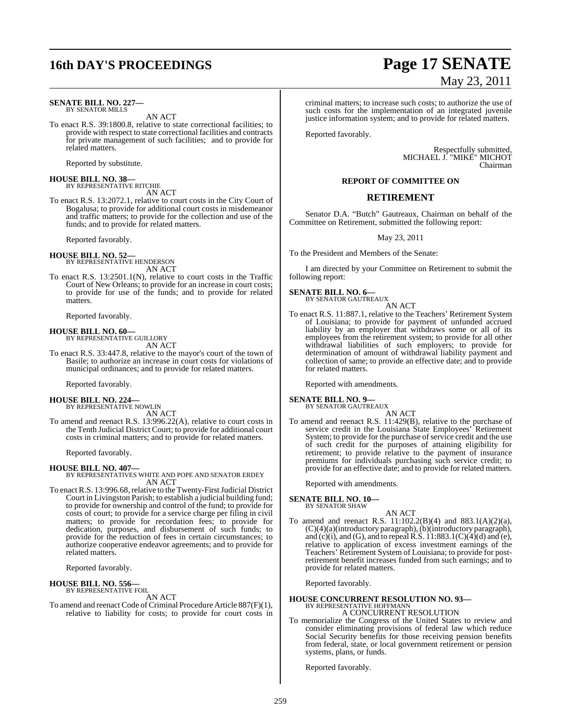# **16th DAY'S PROCEEDINGS Page 17 SENATE**

#### **SENATE BILL NO. 227—** BY SENATOR MILLS

AN ACT

To enact R.S. 39:1800.8, relative to state correctional facilities; to provide with respect to state correctional facilities and contracts for private management of such facilities; and to provide for related matters.

Reported by substitute.

# **HOUSE BILL NO. 38—** BY REPRESENTATIVE RITCHIE

AN ACT To enact R.S. 13:2072.1, relative to court costs in the City Court of Bogalusa; to provide for additional court costs in misdemeanor

and traffic matters; to provide for the collection and use of the funds; and to provide for related matters.

Reported favorably.

**HOUSE BILL NO. 52—** BY REPRESENTATIVE HENDERSON AN ACT

To enact R.S. 13:2501.1(N), relative to court costs in the Traffic Court of New Orleans; to provide for an increase in court costs; to provide for use of the funds; and to provide for related matters.

Reported favorably.

**HOUSE BILL NO. 60—** BY REPRESENTATIVE GUILLORY

AN ACT To enact R.S. 33:447.8, relative to the mayor's court of the town of Basile; to authorize an increase in court costs for violations of municipal ordinances; and to provide for related matters.

Reported favorably.

**HOUSE BILL NO. 224—** BY REPRESENTATIVE NOWLIN

AN ACT

To amend and reenact R.S. 13:996.22(A), relative to court costs in the Tenth Judicial District Court; to provide for additional court costs in criminal matters; and to provide for related matters.

Reported favorably.

**HOUSE BILL NO. 407—** BY REPRESENTATIVES WHITE AND POPE AND SENATOR ERDEY AN ACT

To enact R.S. 13:996.68, relative to the Twenty-First Judicial District Court in Livingston Parish; to establish a judicial building fund; to provide for ownership and control of the fund; to provide for costs of court; to provide for a service charge per filing in civil matters; to provide for recordation fees; to provide for dedication, purposes, and disbursement of such funds; to provide for the reduction of fees in certain circumstances; to authorize cooperative endeavor agreements; and to provide for related matters.

Reported favorably.

# **HOUSE BILL NO. 556—** BY REPRESENTATIVE FOIL

AN ACT

To amend and reenact Code of Criminal Procedure Article 887(F)(1), relative to liability for costs; to provide for court costs in

# May 23, 2011

criminal matters; to increase such costs; to authorize the use of such costs for the implementation of an integrated juvenile justice information system; and to provide for related matters.

Reported favorably.

Respectfully submitted, MICHAEL J. "MIKE" MICHOT Chairman

#### **REPORT OF COMMITTEE ON**

### **RETIREMENT**

Senator D.A. "Butch" Gautreaux, Chairman on behalf of the Committee on Retirement, submitted the following report:

May 23, 2011

To the President and Members of the Senate:

I am directed by your Committee on Retirement to submit the following report:

#### **SENATE BILL NO. 6—** BY SENATOR GAUTREAUX

AN ACT

To enact R.S. 11:887.1, relative to the Teachers' Retirement System of Louisiana; to provide for payment of unfunded accrued liability by an employer that withdraws some or all of its employees from the retirement system; to provide for all other withdrawal liabilities of such employers; to provide for determination of amount of withdrawal liability payment and collection of same; to provide an effective date; and to provide for related matters.

Reported with amendments.

# **SENATE BILL NO. 9—** BY SENATOR GAUTREAUX

AN ACT

To amend and reenact R.S. 11:429(B), relative to the purchase of service credit in the Louisiana State Employees' Retirement System; to provide for the purchase of service credit and the use of such credit for the purposes of attaining eligibility for retirement; to provide relative to the payment of insurance premiums for individuals purchasing such service credit; to provide for an effective date; and to provide for related matters.

Reported with amendments.

**SENATE BILL NO. 10—**

BY SENATOR SHAW

AN ACT

To amend and reenact R.S. 11:102.2(B)(4) and 883.1(A)(2)(a), (C)(4)(a)(introductory paragraph),(b)(introductory paragraph), and  $(c)(i)$ , and  $(G)$ , and to repeal R.S.  $11:883.1(C)(4)(d)$  and  $(e)$ , relative to application of excess investment earnings of the Teachers' Retirement System of Louisiana; to provide for postretirement benefit increases funded from such earnings; and to provide for related matters.

Reported favorably.

# **HOUSE CONCURRENT RESOLUTION NO. 93—** BY REPRESENTATIVE HOFFMANN

A CONCURRENT RESOLUTION To memorialize the Congress of the United States to review and consider eliminating provisions of federal law which reduce Social Security benefits for those receiving pension benefits from federal, state, or local government retirement or pension systems, plans, or funds.

Reported favorably.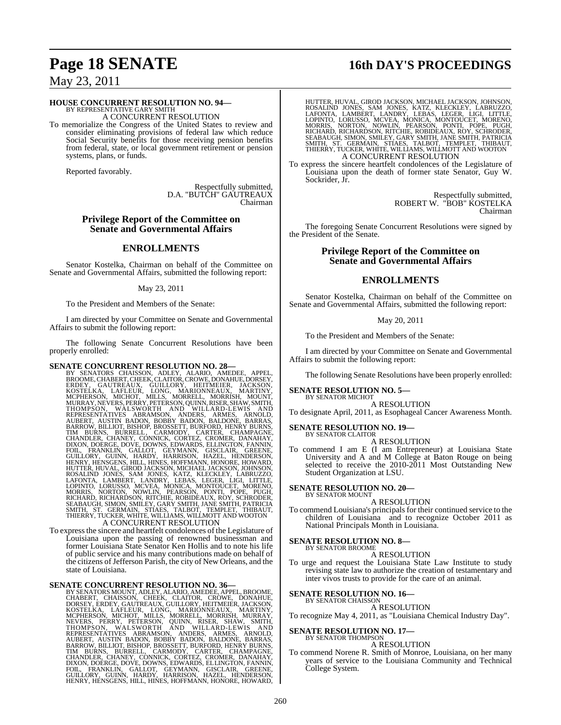# **Page 18 SENATE 16th DAY'S PROCEEDINGS**

## May 23, 2011

#### **HOUSE CONCURRENT RESOLUTION NO. 94—**

BY REPRESENTATIVE GARY SMITH A CONCURRENT RESOLUTION

To memorialize the Congress of the United States to review and consider eliminating provisions of federal law which reduce Social Security benefits for those receiving pension benefits from federal, state, or local government retirement or pension systems, plans, or funds.

Reported favorably.

Respectfully submitted, D.A. "BUTCH" GAUTREAUX Chairman

#### **Privilege Report of the Committee on Senate and Governmental Affairs**

#### **ENROLLMENTS**

Senator Kostelka, Chairman on behalf of the Committee on Senate and Governmental Affairs, submitted the following report:

#### May 23, 2011

To the President and Members of the Senate:

I am directed by your Committee on Senate and Governmental Affairs to submit the following report:

The following Senate Concurrent Resolutions have been properly enrolled: properly enrolled:

**SENATE CONCURRENT RESOLUTION NO. 28**<br>BY SENATORS CHAISSON, ADLEY, ALARIO, AMEDEE, APPEL, BROOME,CHABERT,CHERK,CLAITOR,CROWE,DONAHUE,DORSEY, GROWE, COURCE, GAITRACK, GUILLORY, HEITMEIER, JACKSON, MCHOT, MILLS, MORRELL, MOR

#### To expressthe sincere and heartfelt condolences of the Legislature of To express the sincere and heartfelt condolences of the Legislature of<br>Louisiana upon the passing of renowned businessman and former Louisiana State Senator Ken Hollis and to note his life of public service and his many contributions made on behalf of the citizens of Jefferson Parish, the city of New Orleans, and the state of Louisiana.

SENATE CONCURRENT RESOLUTION NO. 36—<br>
BY SENATORS MOUNT, ADLEY, ALARIO, AMEDEE, APPEL, BROOME, CHABERT, CHAISSON, CHEEK, CLAITOR, CROWE, DONAHUE,<br>
DORSEY, ERDEY, GAUTREAUX, GUILLORY, HEITMEIER, JACKSON,<br>
KOSTELKA, LAFLEUR,

HUTTER, HUVAL, GIROD JACKSON, MICHAEL JACKSON, JOHNSON, ROSALIND JONES, SAM JONES, KATZ, KLECKLEY, LABRUZZO, LAFONTA, LARICATONIC, LOPINTO, LOPINTO, LORUSSO, MCVEA, MONICA, MONTOUCET, MORENO, MORRIS, NORTOUCET, MORENO, MOR

To express the sincere heartfelt condolences of the Legislature of Louisiana upon the death of former state Senator, Guy W. Sockrider, Jr.

> Respectfully submitted, ROBERT W. "BOB" KOSTELKA Chairman

The foregoing Senate Concurrent Resolutions were signed by the President of the Senate.

#### **Privilege Report of the Committee on Senate and Governmental Affairs**

#### **ENROLLMENTS**

Senator Kostelka, Chairman on behalf of the Committee on Senate and Governmental Affairs, submitted the following report:

May 20, 2011

To the President and Members of the Senate:

I am directed by your Committee on Senate and Governmental Affairs to submit the following report:

The following Senate Resolutions have been properly enrolled:

# **SENATE RESOLUTION NO. 5—** BY SENATOR MICHOT

A RESOLUTION

To designate April, 2011, as Esophageal Cancer Awareness Month.

#### **SENATE RESOLUTION NO. 19—**

BY SENATOR CLAITOR A RESOLUTION

To commend I am E (I am Entrepreneur) at Louisiana State University and A and M College at Baton Rouge on being selected to receive the 2010-2011 Most Outstanding New Student Organization at LSU.

**SENATE RESOLUTION NO. 20—** BY SENATOR MOUNT

A RESOLUTION

To commend Louisiana's principals for their continued service to the children of Louisiana and to recognize October 2011 as National Principals Month in Louisiana.

#### **SENATE RESOLUTION NO. 8—**

BY SENATOR BROOME A RESOLUTION

To urge and request the Louisiana State Law Institute to study revising state law to authorize the creation of testamentary and inter vivos trusts to provide for the care of an animal.

**SENATE RESOLUTION NO. 16—**

BY SENATOR CHAISSON A RESOLUTION

To recognize May 4, 2011, as "Louisiana Chemical Industry Day".

**SENATE RESOLUTION NO. 17—**<br>BY SENATOR THOMPSON

- A RESOLUTION
- To commend Norene R. Smith of Monroe, Louisiana, on her many years of service to the Louisiana Community and Technical College System.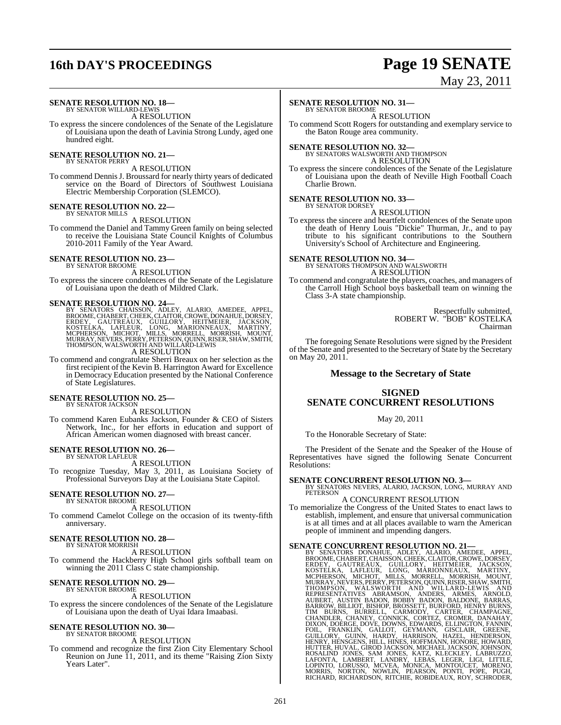# **16th DAY'S PROCEEDINGS Page 19 SENATE**

# May 23, 2011

#### **SENATE RESOLUTION NO. 18—** BY SENATOR WILLARD-LEWIS

A RESOLUTION

To express the sincere condolences of the Senate of the Legislature of Louisiana upon the death of Lavinia Strong Lundy, aged one hundred eight.

#### **SENATE RESOLUTION NO. 21—** BY SENATOR PERRY

A RESOLUTION

To commend DennisJ. Broussard for nearly thirty years of dedicated service on the Board of Directors of Southwest Louisiana Electric Membership Corporation (SLEMCO).

# **SENATE RESOLUTION NO. 22—** BY SENATOR MILLS

A RESOLUTION

To commend the Daniel and Tammy Green family on being selected to receive the Louisiana State Council Knights of Columbus 2010-2011 Family of the Year Award.

#### **SENATE RESOLUTION NO. 23—** BY SENATOR BROOME

A RESOLUTION

To express the sincere condolences of the Senate of the Legislature of Louisiana upon the death of Mildred Clark.

SENATE RESOLUTION NO. 24—<br>BY SENATORS CHAISSON, ADLEY, ALARIO, AMEDEE, APPEL, BROOME, CHABERT, CHEEK, CLAITOR, CROWE, DONAHUE, DORSEY, ERDEY, GAUTREAUX, GUILLORY, HEITMEIER, JACKSON, KOSTELKA, LAFLEUR, LONG, MARIONNEAUX, M A RESOLUTION

To commend and congratulate Sherri Breaux on her selection as the first recipient of the Kevin B. Harrington Award for Excellence in Democracy Education presented by the National Conference of State Legislatures.

#### **SENATE RESOLUTION NO. 25—** BY SENATOR JACKSON

A RESOLUTION

To commend Karen Eubanks Jackson, Founder & CEO of Sisters Network, Inc., for her efforts in education and support of African American women diagnosed with breast cancer.

# **SENATE RESOLUTION NO. 26—** BY SENATOR LAFLEUR

A RESOLUTION

To recognize Tuesday, May 3, 2011, as Louisiana Society of Professional Surveyors Day at the Louisiana State Capitol.

# **SENATE RESOLUTION NO. 27—** BY SENATOR BROOME

A RESOLUTION

To commend Camelot College on the occasion of its twenty-fifth anniversary.

#### **SENATE RESOLUTION NO. 28—** BY SENATOR MORRISH

A RESOLUTION To commend the Hackberry High School girls softball team on winning the 2011 Class C state championship.

#### **SENATE RESOLUTION NO. 29—** BY SENATOR BROOME

A RESOLUTION

To express the sincere condolences of the Senate of the Legislature of Louisiana upon the death of Uyai Idara Imaabasi.

#### **SENATE RESOLUTION NO. 30—** BY SENATOR BROOME

A RESOLUTION

To commend and recognize the first Zion City Elementary School Reunion on June 11, 2011, and its theme "Raising Zion Sixty Years Later".

## **SENATE RESOLUTION NO. 31—**

BY SENATOR BROOME A RESOLUTION

To commend Scott Rogers for outstanding and exemplary service to the Baton Rouge area community.

# **SENATE RESOLUTION NO. 32—** BY SENATORS WALSWORTH AND THOMPSON

A RESOLUTION

To express the sincere condolences of the Senate of the Legislature of Louisiana upon the death of Neville High Football Coach Charlie Brown.

# **SENATE RESOLUTION NO. 33-**<br>BY SENATOR DORSEY

#### A RESOLUTION

To express the sincere and heartfelt condolences of the Senate upon the death of Henry Louis "Dickie" Thurman, Jr., and to pay tribute to his significant contributions to the Southern University's School of Architecture and Engineering.

# **SENATE RESOLUTION NO. 34—** BY SENATORS THOMPSON AND WALSWORTH

A RESOLUTION

To commend and congratulate the players, coaches, and managers of the Carroll High School boys basketball team on winning the Class 3-A state championship.

> Respectfully submitted, ROBERT W. "BOB" KOSTELKA Chairman

The foregoing Senate Resolutions were signed by the President of the Senate and presented to the Secretary of State by the Secretary on May 20, 2011.

### **Message to the Secretary of State**

## **SIGNED SENATE CONCURRENT RESOLUTIONS**

#### May 20, 2011

To the Honorable Secretary of State:

The President of the Senate and the Speaker of the House of Representatives have signed the following Senate Concurrent Resolutions:

#### **SENATE CONCURRENT RESOLUTION NO. 3—**

BY SENATORS NEVERS, ALARIO, JACKSON, LONG, MURRAY AND PETERSON

#### A CONCURRENT RESOLUTION

To memorialize the Congress of the United States to enact laws to establish, implement, and ensure that universal communication is at all times and at all places available to warn the American people of imminent and impending dangers.

**SENATE CONCURRENT RESOLUTION NO. 21**-BY SENATOR DONAHUE, APPEL, BY SENATORS DONAHUE, ADLEY, ALARIO, AMEDEE, APPEL, BROOME, CHABERT, GAUTREAUX, GUILLORY, HEITMEIER, JACKSON, KOSTELIKA, LAFLEUR, LONG, MARIONNEAUX, MARITY, M